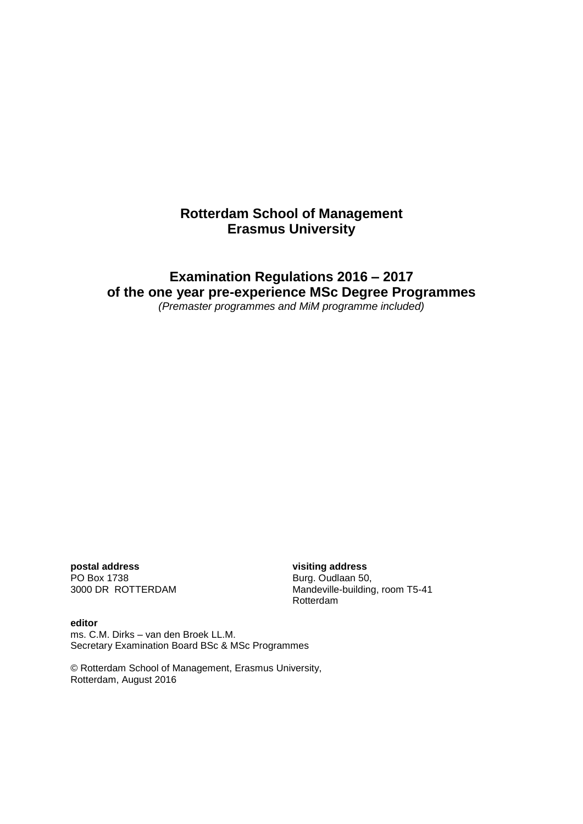## **Rotterdam School of Management Erasmus University**

# **Examination Regulations 2016 – 2017 of the one year pre-experience MSc Degree Programmes**

*(Premaster programmes and MiM programme included)*

**postal address visiting address** PO Box 1738<br>
3000 DR ROTTERDAM
3000 DR BOTTERDAM
BOD BOR BOTTER AND THE SUBSETING Mandeville-building

Mandeville-building, room T5-41 Rotterdam

**editor** ms. C.M. Dirks – van den Broek LL.M. Secretary Examination Board BSc & MSc Programmes

© Rotterdam School of Management, Erasmus University, Rotterdam, August 2016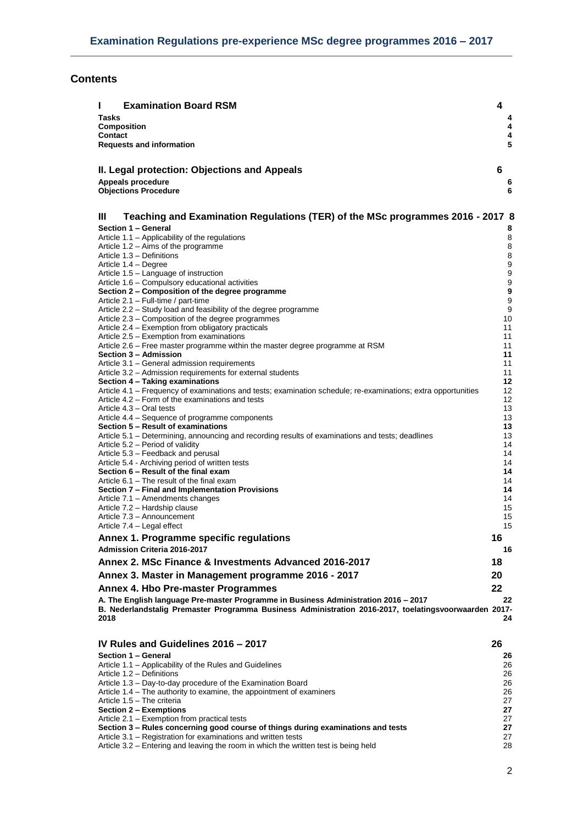## **Contents**

| <b>Examination Board RSM</b><br>н                                                                                      | 4  |                                      |
|------------------------------------------------------------------------------------------------------------------------|----|--------------------------------------|
| Tasks                                                                                                                  |    | 4                                    |
| <b>Composition</b>                                                                                                     |    | 4                                    |
| <b>Contact</b><br><b>Requests and information</b>                                                                      |    | 4<br>5                               |
|                                                                                                                        |    |                                      |
|                                                                                                                        |    |                                      |
| II. Legal protection: Objections and Appeals                                                                           | 6  |                                      |
| Appeals procedure<br><b>Objections Procedure</b>                                                                       |    | 6<br>6                               |
|                                                                                                                        |    |                                      |
| Ш<br>Teaching and Examination Regulations (TER) of the MSc programmes 2016 - 2017 8                                    |    |                                      |
| Section 1 - General                                                                                                    |    | 8                                    |
| Article 1.1 - Applicability of the regulations                                                                         |    | 8                                    |
| Article 1.2 – Aims of the programme                                                                                    |    | 8                                    |
| Article 1.3 - Definitions                                                                                              |    | 8                                    |
| Article 1.4 – Degree<br>Article 1.5 - Language of instruction                                                          |    | $\boldsymbol{9}$<br>$\boldsymbol{9}$ |
| Article 1.6 - Compulsory educational activities                                                                        |    | 9                                    |
| Section 2 – Composition of the degree programme                                                                        |    | 9                                    |
| Article 2.1 - Full-time / part-time                                                                                    |    | 9                                    |
| Article 2.2 – Study load and feasibility of the degree programme<br>Article 2.3 – Composition of the degree programmes |    | 9<br>10                              |
| Article 2.4 – Exemption from obligatory practicals                                                                     |    | 11                                   |
| Article 2.5 – Exemption from examinations                                                                              |    | 11                                   |
| Article 2.6 – Free master programme within the master degree programme at RSM                                          |    | 11                                   |
| Section 3 - Admission<br>Article 3.1 – General admission requirements                                                  |    | 11<br>11                             |
| Article 3.2 – Admission requirements for external students                                                             |    | 11                                   |
| Section 4 - Taking examinations                                                                                        |    | 12                                   |
| Article 4.1 – Frequency of examinations and tests; examination schedule; re-examinations; extra opportunities          |    | 12                                   |
| Article 4.2 – Form of the examinations and tests<br>Article 4.3 – Oral tests                                           |    | 12<br>13                             |
| Article 4.4 – Sequence of programme components                                                                         |    | 13                                   |
| Section 5 - Result of examinations                                                                                     |    | 13                                   |
| Article 5.1 – Determining, announcing and recording results of examinations and tests; deadlines                       |    | 13                                   |
| Article 5.2 – Period of validity<br>Article 5.3 – Feedback and perusal                                                 |    | 14<br>14                             |
| Article 5.4 - Archiving period of written tests                                                                        |    | 14                                   |
| Section 6 - Result of the final exam                                                                                   |    | 14                                   |
| Article 6.1 – The result of the final exam                                                                             |    | 14<br>14                             |
| Section 7 – Final and Implementation Provisions<br>Article 7.1 - Amendments changes                                    |    | 14                                   |
| Article 7.2 - Hardship clause                                                                                          |    | 15                                   |
| Article 7.3 - Announcement                                                                                             |    | 15                                   |
| Article 7.4 - Legal effect                                                                                             |    | 15                                   |
| Annex 1. Programme specific regulations                                                                                | 16 |                                      |
| <b>Admission Criteria 2016-2017</b>                                                                                    |    | 16                                   |
| Annex 2. MSc Finance & Investments Advanced 2016-2017                                                                  | 18 |                                      |
| Annex 3. Master in Management programme 2016 - 2017                                                                    | 20 |                                      |
| Annex 4. Hbo Pre-master Programmes                                                                                     | 22 |                                      |
| A. The English language Pre-master Programme in Business Administration 2016 - 2017                                    |    | 22                                   |
| B. Nederlandstalig Premaster Programma Business Administration 2016-2017, toelatingsvoorwaarden 2017-                  |    |                                      |
| 2018                                                                                                                   |    | 24                                   |
|                                                                                                                        |    |                                      |
| IV Rules and Guidelines 2016 - 2017                                                                                    | 26 |                                      |
| Section 1 - General                                                                                                    |    | 26                                   |
| Article 1.1 - Applicability of the Rules and Guidelines<br>Article 1.2 - Definitions                                   |    | 26<br>26                             |
| Article 1.3 - Day-to-day procedure of the Examination Board                                                            |    | 26                                   |
| Article 1.4 – The authority to examine, the appointment of examiners                                                   |    | 26                                   |
| Article 1.5 - The criteria                                                                                             |    | 27<br>27                             |
| Section 2 – Exemptions<br>Article 2.1 - Exemption from practical tests                                                 |    | 27                                   |
| Section 3 - Rules concerning good course of things during examinations and tests                                       |    | 27                                   |
| Article 3.1 – Registration for examinations and written tests                                                          |    | 27                                   |
| Article 3.2 - Entering and leaving the room in which the written test is being held                                    |    | 28                                   |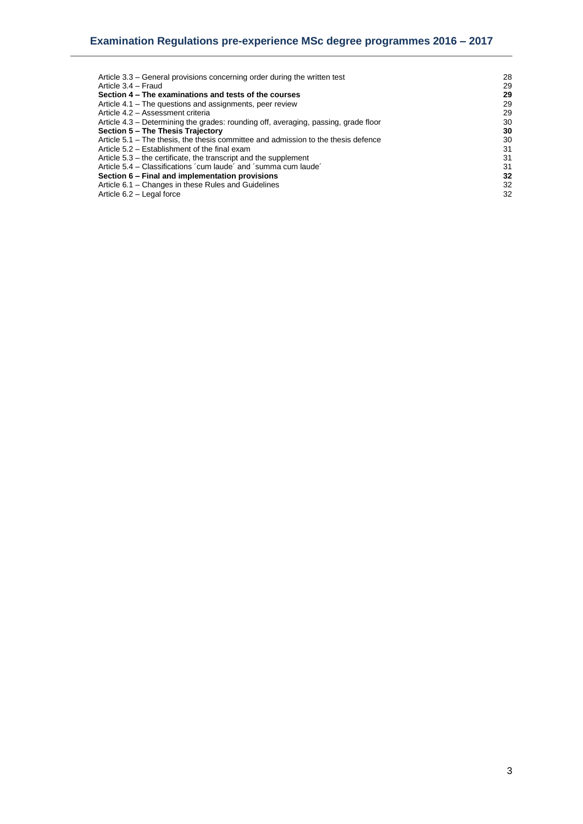| 28 |
|----|
| 29 |
| 29 |
| 29 |
| 29 |
| 30 |
| 30 |
| 30 |
| 31 |
| 31 |
| 31 |
| 32 |
| 32 |
| 32 |
|    |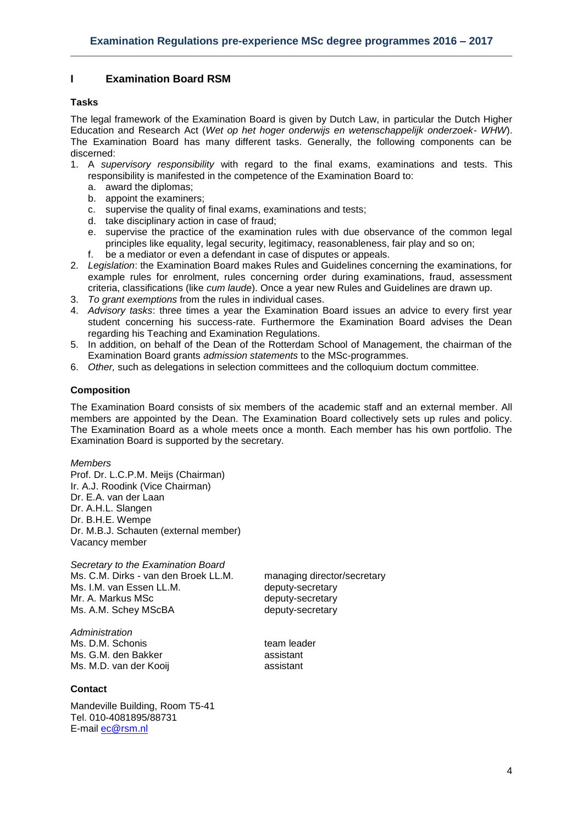## <span id="page-3-0"></span>**I Examination Board RSM**

## <span id="page-3-1"></span>**Tasks**

The legal framework of the Examination Board is given by Dutch Law, in particular the Dutch Higher Education and Research Act (*Wet op het hoger onderwijs en wetenschappelijk onderzoek- WHW*). The Examination Board has many different tasks. Generally, the following components can be discerned:

- 1. A *supervisory responsibility* with regard to the final exams, examinations and tests. This responsibility is manifested in the competence of the Examination Board to:
	- a. award the diplomas;
	- b. appoint the examiners;
	- c. supervise the quality of final exams, examinations and tests;
	- d. take disciplinary action in case of fraud;
	- e. supervise the practice of the examination rules with due observance of the common legal principles like equality, legal security, legitimacy, reasonableness, fair play and so on;
	- f. be a mediator or even a defendant in case of disputes or appeals.
- 2. *Legislation*: the Examination Board makes Rules and Guidelines concerning the examinations, for example rules for enrolment, rules concerning order during examinations, fraud, assessment criteria, classifications (like *cum laude*). Once a year new Rules and Guidelines are drawn up.
- 3. *To grant exemptions* from the rules in individual cases.
- 4. *Advisory tasks*: three times a year the Examination Board issues an advice to every first year student concerning his success-rate. Furthermore the Examination Board advises the Dean regarding his Teaching and Examination Regulations.
- 5. In addition, on behalf of the Dean of the Rotterdam School of Management, the chairman of the Examination Board grants *admission statements* to the MSc-programmes.
- <span id="page-3-2"></span>6. *Other,* such as delegations in selection committees and the colloquium doctum committee.

## **Composition**

The Examination Board consists of six members of the academic staff and an external member. All members are appointed by the Dean. The Examination Board collectively sets up rules and policy. The Examination Board as a whole meets once a month. Each member has his own portfolio. The Examination Board is supported by the secretary.

*Members*

Prof. Dr. L.C.P.M. Meijs (Chairman) Ir. A.J. Roodink (Vice Chairman) Dr. E.A. van der Laan Dr. A.H.L. Slangen Dr. B.H.E. Wempe Dr. M.B.J. Schauten (external member) Vacancy member

*Secretary to the Examination Board* Ms. C.M. Dirks - van den Broek LL.M. managing director/secretary Ms. I.M. van Essen LL.M. **Example 20 and the example of the MS** deputy-secretary Mr. A. Markus MSc between the deputy-secretary Ms. A.M. Schey MScBA deputy-secretary

*Administration* Ms. D.M. Schonis team leader Ms. G.M. den Bakker assistant Ms. M.D. van der Kooij assistant

## <span id="page-3-3"></span>**Contact**

Mandeville Building, Room T5-41 Tel. 010-4081895/88731 E-mail [ec@rsm.nl](mailto:ec@rsm.nl)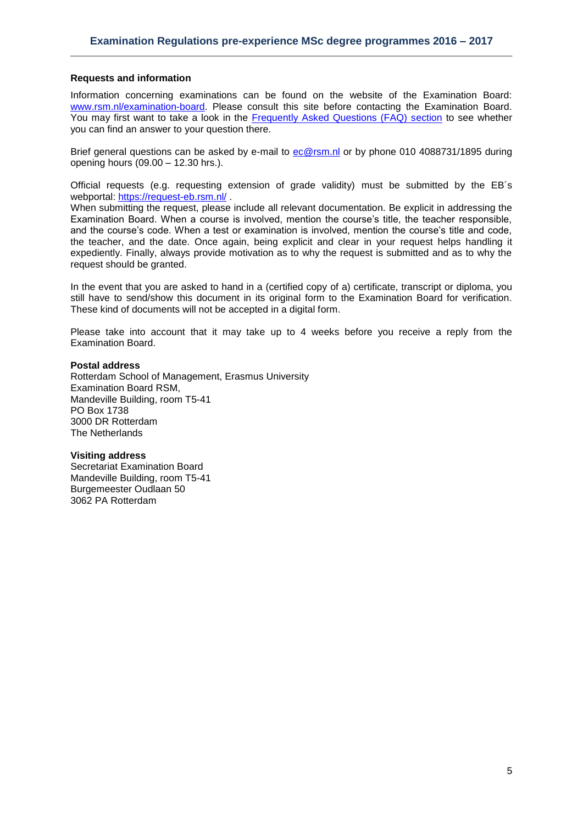#### <span id="page-4-0"></span>**Requests and information**

Information concerning examinations can be found on the website of the Examination Board: [www.rsm.nl/examination-board.](http://www.rsm.nl/examination-board) Please consult this site before contacting the Examination Board. You may first want to take a look in the [Frequently Asked Questions \(FAQ\) section](http://www.rsm.nl/examination-board/frequently-asked-questions-faqs/) to see whether you can find an answer to your question there.

Brief general questions can be asked by e-mail to [ec@rsm.nl](mailto:ec@rsm.nl) or by phone 010 4088731/1895 during opening hours (09.00 – 12.30 hrs.).

Official requests (e.g. requesting extension of grade validity) must be submitted by the EB´s webportal: <https://request-eb.rsm.nl/> .

When submitting the request, please include all relevant documentation. Be explicit in addressing the Examination Board. When a course is involved, mention the course's title, the teacher responsible, and the course's code. When a test or examination is involved, mention the course's title and code, the teacher, and the date. Once again, being explicit and clear in your request helps handling it expediently. Finally, always provide motivation as to why the request is submitted and as to why the request should be granted.

In the event that you are asked to hand in a (certified copy of a) certificate, transcript or diploma, you still have to send/show this document in its original form to the Examination Board for verification. These kind of documents will not be accepted in a digital form.

Please take into account that it may take up to 4 weeks before you receive a reply from the Examination Board.

#### **Postal address**

Rotterdam School of Management, Erasmus University Examination Board RSM, Mandeville Building, room T5-41 PO Box 1738 3000 DR Rotterdam The Netherlands

#### **Visiting address**

Secretariat Examination Board Mandeville Building, room T5-41 Burgemeester Oudlaan 50 3062 PA Rotterdam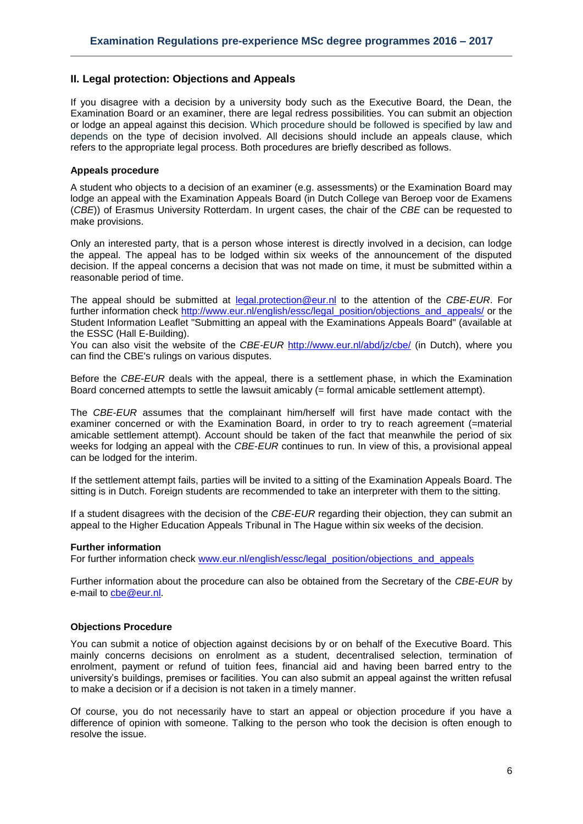## <span id="page-5-0"></span>**II. Legal protection: Objections and Appeals**

If you disagree with a decision by a university body such as the Executive Board, the Dean, the Examination Board or an examiner, there are legal redress possibilities. You can submit an objection or lodge an appeal against this decision. Which procedure should be followed is specified by law and depends on the type of decision involved. All decisions should include an appeals clause, which refers to the appropriate legal process. Both procedures are briefly described as follows.

#### <span id="page-5-1"></span>**Appeals procedure**

A student who objects to a decision of an examiner (e.g. assessments) or the Examination Board may lodge an appeal with the Examination Appeals Board (in Dutch College van Beroep voor de Examens (*CBE*)) of Erasmus University Rotterdam. In urgent cases, the chair of the *CBE* can be requested to make provisions.

Only an interested party, that is a person whose interest is directly involved in a decision, can lodge the appeal. The appeal has to be lodged within six weeks of the announcement of the disputed decision. If the appeal concerns a decision that was not made on time, it must be submitted within a reasonable period of time.

The appeal should be submitted at [legal.protection@eur.nl](mailto:legal.protection@eur.nl) to the attention of the *CBE*-*EUR*. For further information check [http://www.eur.nl/english/essc/legal\\_position/objections\\_and\\_appeals/](http://www.eur.nl/english/essc/legal_position/objections_and_appeals/) or the Student Information Leaflet "Submitting an appeal with the Examinations Appeals Board" (available at the ESSC (Hall E-Building).

You can also visit the website of the *CBE-EUR* <http://www.eur.nl/abd/jz/cbe/> (in Dutch), where you can find the CBE's rulings on various disputes.

Before the *CBE*-*EUR* deals with the appeal, there is a settlement phase, in which the Examination Board concerned attempts to settle the lawsuit amicably (= formal amicable settlement attempt).

The *CBE*-*EUR* assumes that the complainant him/herself will first have made contact with the examiner concerned or with the Examination Board, in order to try to reach agreement (=material amicable settlement attempt). Account should be taken of the fact that meanwhile the period of six weeks for lodging an appeal with the *CBE*-*EUR* continues to run. In view of this, a provisional appeal can be lodged for the interim.

If the settlement attempt fails, parties will be invited to a sitting of the Examination Appeals Board. The sitting is in Dutch. Foreign students are recommended to take an interpreter with them to the sitting.

If a student disagrees with the decision of the *CBE-EUR* regarding their objection, they can submit an appeal to the Higher Education Appeals Tribunal in The Hague within six weeks of the decision.

#### **Further information**

For further information check [www.eur.nl/english/essc/legal\\_position/objections\\_and\\_appeals](http://www.eur.nl/english/essc/legal_position/objections_and_appeals)

Further information about the procedure can also be obtained from the Secretary of the *CBE-EUR* by e-mail to [cbe@eur.nl.](mailto:cbe@eur.nl)

#### <span id="page-5-2"></span>**Objections Procedure**

You can submit a notice of objection against decisions by or on behalf of the Executive Board. This mainly concerns decisions on enrolment as a student, decentralised selection, termination of enrolment, payment or refund of tuition fees, financial aid and having been barred entry to the university's buildings, premises or facilities. You can also submit an appeal against the written refusal to make a decision or if a decision is not taken in a timely manner.

Of course, you do not necessarily have to start an appeal or objection procedure if you have a difference of opinion with someone. Talking to the person who took the decision is often enough to resolve the issue.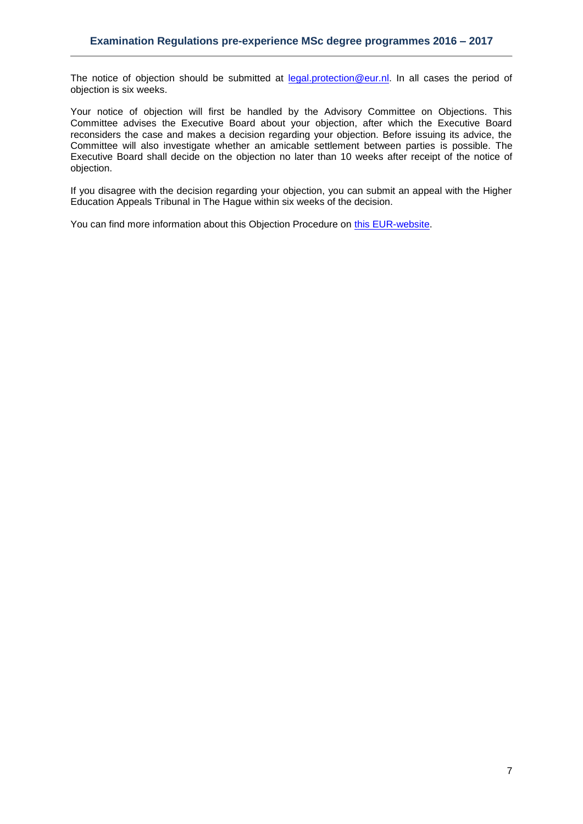The notice of objection should be submitted at [legal.protection@eur.nl.](mailto:legal.protection@eur.nl) In all cases the period of objection is six weeks.

Your notice of objection will first be handled by the Advisory Committee on Objections. This Committee advises the Executive Board about your objection, after which the Executive Board reconsiders the case and makes a decision regarding your objection. Before issuing its advice, the Committee will also investigate whether an amicable settlement between parties is possible. The Executive Board shall decide on the objection no later than 10 weeks after receipt of the notice of objection.

If you disagree with the decision regarding your objection, you can submit an appeal with the Higher Education Appeals Tribunal in The Hague within six weeks of the decision.

You can find more information about this Objection Procedure on [this EUR-website.](http://www.eur.nl/english/essc/legal_position/objections_and_appeals/)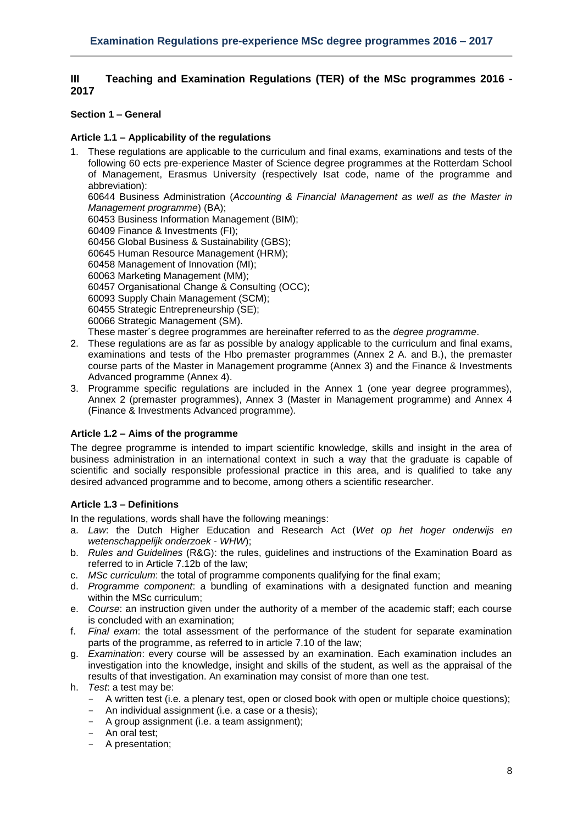## <span id="page-7-0"></span>**III Teaching and Examination Regulations (TER) of the MSc programmes 2016 - 2017**

## <span id="page-7-1"></span>**Section 1 – General**

## <span id="page-7-2"></span>**Article 1.1 – Applicability of the regulations**

1. These regulations are applicable to the curriculum and final exams, examinations and tests of the following 60 ects pre-experience Master of Science degree programmes at the Rotterdam School of Management, Erasmus University (respectively Isat code, name of the programme and abbreviation): 60644 Business Administration (*Accounting & Financial Management as well as the Master in Management programme*) (BA); 60453 Business Information Management (BIM);

60409 Finance & Investments (FI);

60456 Global Business & Sustainability (GBS);

60645 Human Resource Management (HRM);

60458 Management of Innovation (MI);

60063 Marketing Management (MM);

60457 Organisational Change & Consulting (OCC);

60093 Supply Chain Management (SCM);

60455 Strategic Entrepreneurship (SE);

60066 Strategic Management (SM).

These master´s degree programmes are hereinafter referred to as the *degree programme*.

- 2. These regulations are as far as possible by analogy applicable to the curriculum and final exams, examinations and tests of the Hbo premaster programmes (Annex 2 A. and B.), the premaster course parts of the Master in Management programme (Annex 3) and the Finance & Investments Advanced programme (Annex 4).
- 3. Programme specific regulations are included in the Annex 1 (one year degree programmes), Annex 2 (premaster programmes), Annex 3 (Master in Management programme) and Annex 4 (Finance & Investments Advanced programme)*.*

## <span id="page-7-3"></span>**Article 1.2 – Aims of the programme**

The degree programme is intended to impart scientific knowledge, skills and insight in the area of business administration in an international context in such a way that the graduate is capable of scientific and socially responsible professional practice in this area, and is qualified to take any desired advanced programme and to become, among others a scientific researcher.

## <span id="page-7-4"></span>**Article 1.3 – Definitions**

In the regulations, words shall have the following meanings:

- a. *Law*: the Dutch Higher Education and Research Act (*Wet op het hoger onderwijs en wetenschappelijk onderzoek* - *WHW*);
- b. *Rules and Guidelines* (R&G): the rules, guidelines and instructions of the Examination Board as referred to in Article 7.12b of the law;
- c. *MSc curriculum*: the total of programme components qualifying for the final exam;
- d. *Programme component*: a bundling of examinations with a designated function and meaning within the MSc curriculum;
- e. *Course*: an instruction given under the authority of a member of the academic staff; each course is concluded with an examination;
- f. *Final exam*: the total assessment of the performance of the student for separate examination parts of the programme, as referred to in article 7.10 of the law;
- g. *Examination*: every course will be assessed by an examination. Each examination includes an investigation into the knowledge, insight and skills of the student, as well as the appraisal of the results of that investigation. An examination may consist of more than one test.
- h. *Test*: a test may be:
	- A written test (i.e. a plenary test, open or closed book with open or multiple choice questions);
	- An individual assignment (i.e. a case or a thesis);
	- A group assignment (i.e. a team assignment);
	- An oral test;
	- A presentation;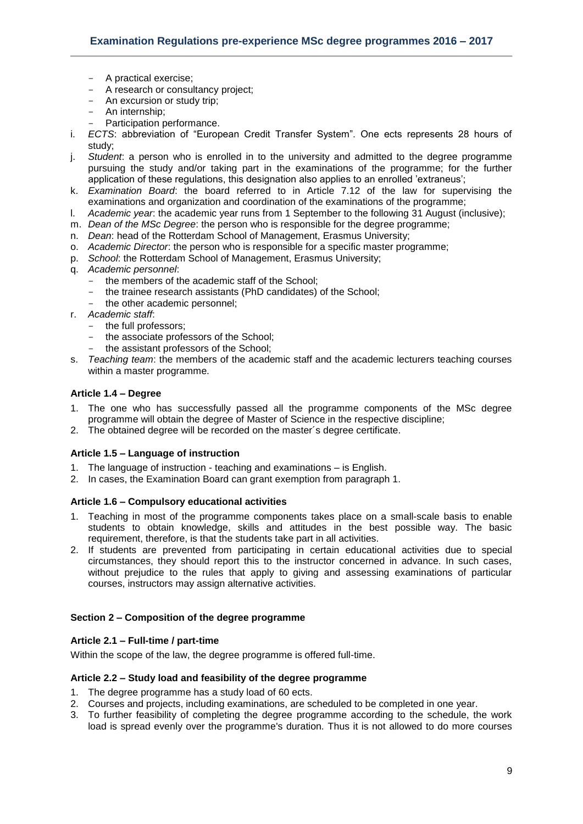- A practical exercise;
- A research or consultancy project;
- An excursion or study trip;
- An internship;
- Participation performance.
- i. *ECTS*: abbreviation of "European Credit Transfer System". One ects represents 28 hours of study;
- j. *Student*: a person who is enrolled in to the university and admitted to the degree programme pursuing the study and/or taking part in the examinations of the programme; for the further application of these regulations, this designation also applies to an enrolled 'extraneus';
- k. *Examination Board*: the board referred to in Article 7.12 of the law for supervising the examinations and organization and coordination of the examinations of the programme;
- l. *Academic year*: the academic year runs from 1 September to the following 31 August (inclusive);
- m. *Dean of the MSc Degree*: the person who is responsible for the degree programme;
- n. *Dean*: head of the Rotterdam School of Management, Erasmus University;
- o. *Academic Director*: the person who is responsible for a specific master programme;
- p. *School*: the Rotterdam School of Management, Erasmus University;
- q. *Academic personnel*:
	- the members of the academic staff of the School;
	- the trainee research assistants (PhD candidates) of the School;
	- the other academic personnel;
- r. *Academic staff*:
	- the full professors;
	- the associate professors of the School;
	- the assistant professors of the School;
- s. *Teaching team*: the members of the academic staff and the academic lecturers teaching courses within a master programme.

#### <span id="page-8-0"></span>**Article 1.4 – Degree**

- 1. The one who has successfully passed all the programme components of the MSc degree programme will obtain the degree of Master of Science in the respective discipline;
- <span id="page-8-1"></span>2. The obtained degree will be recorded on the master´s degree certificate.

## **Article 1.5 – Language of instruction**

- 1. The language of instruction teaching and examinations is English.
- 2. In cases, the Examination Board can grant exemption from paragraph 1.

## <span id="page-8-2"></span>**Article 1.6 – Compulsory educational activities**

- 1. Teaching in most of the programme components takes place on a small-scale basis to enable students to obtain knowledge, skills and attitudes in the best possible way. The basic requirement, therefore, is that the students take part in all activities.
- 2. If students are prevented from participating in certain educational activities due to special circumstances, they should report this to the instructor concerned in advance. In such cases, without prejudice to the rules that apply to giving and assessing examinations of particular courses, instructors may assign alternative activities.

#### <span id="page-8-3"></span>**Section 2 – Composition of the degree programme**

#### <span id="page-8-4"></span>**Article 2.1 – Full-time / part-time**

<span id="page-8-5"></span>Within the scope of the law, the degree programme is offered full-time.

#### **Article 2.2 – Study load and feasibility of the degree programme**

- 1. The degree programme has a study load of 60 ects.
- 2. Courses and projects, including examinations, are scheduled to be completed in one year.
- 3. To further feasibility of completing the degree programme according to the schedule, the work load is spread evenly over the programme's duration. Thus it is not allowed to do more courses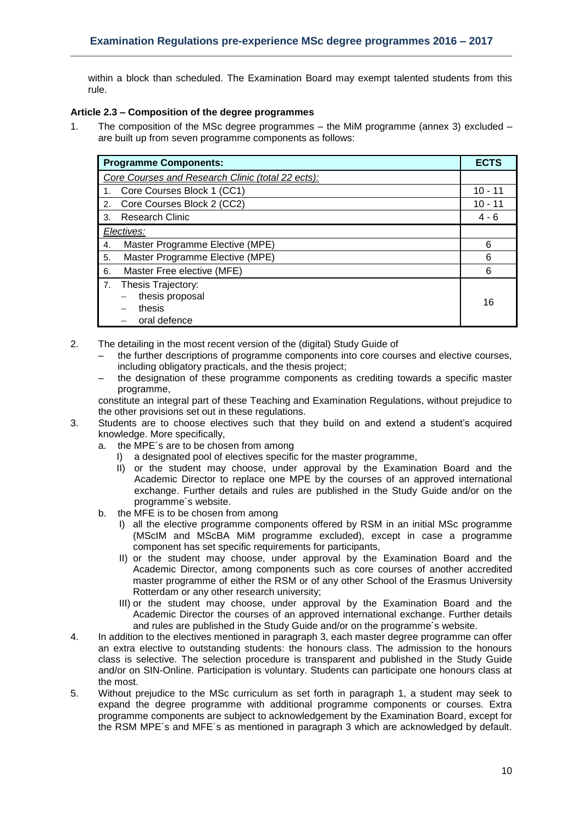within a block than scheduled. The Examination Board may exempt talented students from this rule.

## <span id="page-9-0"></span>**Article 2.3 – Composition of the degree programmes**

1. The composition of the MSc degree programmes – the MiM programme (annex 3) excluded – are built up from seven programme components as follows:

| <b>Programme Components:</b>                                          |           |  |  |  |  |  |
|-----------------------------------------------------------------------|-----------|--|--|--|--|--|
| Core Courses and Research Clinic (total 22 ects):                     |           |  |  |  |  |  |
| Core Courses Block 1 (CC1)                                            | $10 - 11$ |  |  |  |  |  |
| Core Courses Block 2 (CC2)<br>2.                                      | $10 - 11$ |  |  |  |  |  |
| <b>Research Clinic</b><br>3.                                          | $4 - 6$   |  |  |  |  |  |
| Electives:                                                            |           |  |  |  |  |  |
| Master Programme Elective (MPE)<br>4.                                 | 6         |  |  |  |  |  |
| Master Programme Elective (MPE)<br>5.                                 | 6         |  |  |  |  |  |
| Master Free elective (MFE)<br>6.                                      | 6         |  |  |  |  |  |
| Thesis Trajectory:<br>7.<br>thesis proposal<br>thesis<br>oral defence | 16        |  |  |  |  |  |

- 2. The detailing in the most recent version of the (digital) Study Guide of
	- the further descriptions of programme components into core courses and elective courses, including obligatory practicals, and the thesis project;
	- the designation of these programme components as crediting towards a specific master programme,

constitute an integral part of these Teaching and Examination Regulations, without prejudice to the other provisions set out in these regulations.

- 3. Students are to choose electives such that they build on and extend a student's acquired knowledge. More specifically,
	- a. the MPE´s are to be chosen from among
		- I) a designated pool of electives specific for the master programme,
		- II) or the student may choose, under approval by the Examination Board and the Academic Director to replace one MPE by the courses of an approved international exchange. Further details and rules are published in the Study Guide and/or on the programme´s website.
	- b. the MFE is to be chosen from among
		- I) all the elective programme components offered by RSM in an initial MSc programme (MScIM and MScBA MiM programme excluded), except in case a programme component has set specific requirements for participants,
		- II) or the student may choose, under approval by the Examination Board and the Academic Director, among components such as core courses of another accredited master programme of either the RSM or of any other School of the Erasmus University Rotterdam or any other research university;
		- III) or the student may choose, under approval by the Examination Board and the Academic Director the courses of an approved international exchange. Further details and rules are published in the Study Guide and/or on the programme´s website.
- 4. In addition to the electives mentioned in paragraph 3, each master degree programme can offer an extra elective to outstanding students: the honours class. The admission to the honours class is selective. The selection procedure is transparent and published in the Study Guide and/or on SIN-Online. Participation is voluntary. Students can participate one honours class at the most.
- 5. Without prejudice to the MSc curriculum as set forth in paragraph 1, a student may seek to expand the degree programme with additional programme components or courses. Extra programme components are subject to acknowledgement by the Examination Board, except for the RSM MPE´s and MFE´s as mentioned in paragraph 3 which are acknowledged by default.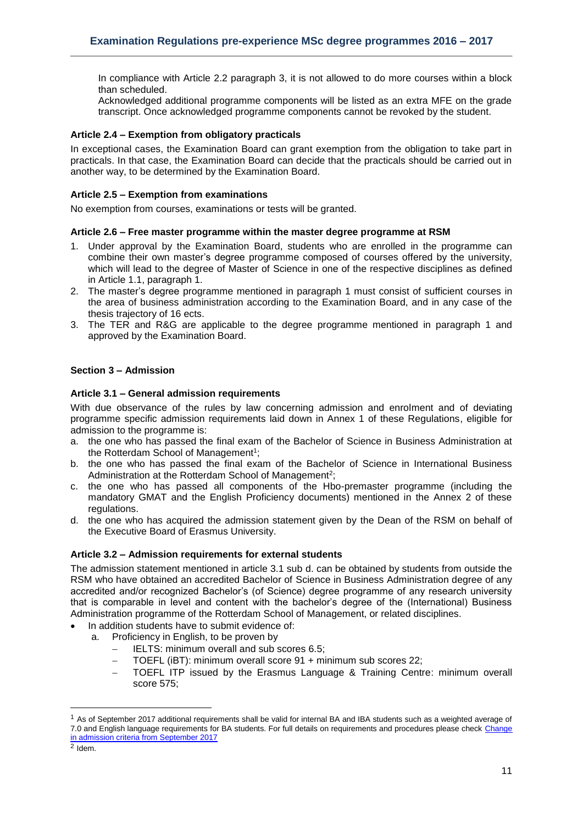In compliance with Article 2.2 paragraph 3, it is not allowed to do more courses within a block than scheduled.

Acknowledged additional programme components will be listed as an extra MFE on the grade transcript. Once acknowledged programme components cannot be revoked by the student.

## <span id="page-10-0"></span>**Article 2.4 – Exemption from obligatory practicals**

In exceptional cases, the Examination Board can grant exemption from the obligation to take part in practicals. In that case, the Examination Board can decide that the practicals should be carried out in another way, to be determined by the Examination Board.

#### <span id="page-10-1"></span>**Article 2.5 – Exemption from examinations**

<span id="page-10-2"></span>No exemption from courses, examinations or tests will be granted.

#### **Article 2.6 – Free master programme within the master degree programme at RSM**

- 1. Under approval by the Examination Board, students who are enrolled in the programme can combine their own master's degree programme composed of courses offered by the university, which will lead to the degree of Master of Science in one of the respective disciplines as defined in Article 1.1, paragraph 1.
- 2. The master's degree programme mentioned in paragraph 1 must consist of sufficient courses in the area of business administration according to the Examination Board, and in any case of the thesis trajectory of 16 ects.
- 3. The TER and R&G are applicable to the degree programme mentioned in paragraph 1 and approved by the Examination Board.

#### <span id="page-10-3"></span>**Section 3 – Admission**

#### <span id="page-10-4"></span>**Article 3.1 – General admission requirements**

With due observance of the rules by law concerning admission and enrolment and of deviating programme specific admission requirements laid down in Annex 1 of these Regulations, eligible for admission to the programme is:

- a. the one who has passed the final exam of the Bachelor of Science in Business Administration at the Rotterdam School of Management<sup>1</sup>;
- b. the one who has passed the final exam of the Bachelor of Science in International Business Administration at the Rotterdam School of Management<sup>2</sup>;
- c. the one who has passed all components of the Hbo-premaster programme (including the mandatory GMAT and the English Proficiency documents) mentioned in the Annex 2 of these regulations.
- d. the one who has acquired the admission statement given by the Dean of the RSM on behalf of the Executive Board of Erasmus University.

#### <span id="page-10-5"></span>**Article 3.2 – Admission requirements for external students**

The admission statement mentioned in article 3.1 sub d. can be obtained by students from outside the RSM who have obtained an accredited Bachelor of Science in Business Administration degree of any accredited and/or recognized Bachelor's (of Science) degree programme of any research university that is comparable in level and content with the bachelor's degree of the (International) Business Administration programme of the Rotterdam School of Management, or related disciplines.

- In addition students have to submit evidence of:
	- a. Proficiency in English, to be proven by
		- IELTS: minimum overall and sub scores 6.5;
		- TOEFL (iBT): minimum overall score 91 + minimum sub scores 22;
		- TOEFL ITP issued by the Erasmus Language & Training Centre: minimum overall score 575;

**.** 

 $1$  As of September 2017 additional requirements shall be valid for internal BA and IBA students such as a weighted average of 7.0 and English language requirements for BA students. For full details on requirements and procedures please check [Change](https://www.rsm.nl/fileadmin/Images_NEW/Current_Students/Master/Change_in_master_admission_criteria_from_September_2017_onwards.pdf)  [in admission criteria from September 2017](https://www.rsm.nl/fileadmin/Images_NEW/Current_Students/Master/Change_in_master_admission_criteria_from_September_2017_onwards.pdf)

 $2$  Idem.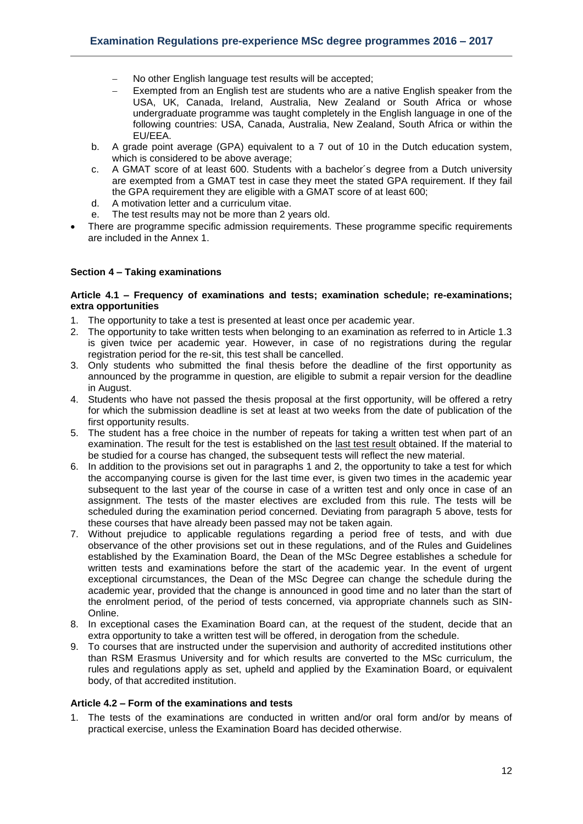- No other English language test results will be accepted;
- Exempted from an English test are students who are a native English speaker from the USA, UK, Canada, Ireland, Australia, New Zealand or South Africa or whose undergraduate programme was taught completely in the English language in one of the following countries: USA, Canada, Australia, New Zealand, South Africa or within the EU/EEA.
- b. A grade point average (GPA) equivalent to a 7 out of 10 in the Dutch education system, which is considered to be above average;
- c. A GMAT score of at least 600. Students with a bachelor´s degree from a Dutch university are exempted from a GMAT test in case they meet the stated GPA requirement. If they fail the GPA requirement they are eligible with a GMAT score of at least 600;
- d. A motivation letter and a curriculum vitae.
- e. The test results may not be more than 2 years old.
- There are programme specific admission requirements. These programme specific requirements are included in the Annex 1.

#### <span id="page-11-0"></span>**Section 4 – Taking examinations**

#### <span id="page-11-1"></span>**Article 4.1 – Frequency of examinations and tests; examination schedule; re-examinations; extra opportunities**

- 1. The opportunity to take a test is presented at least once per academic year.
- 2. The opportunity to take written tests when belonging to an examination as referred to in Article 1.3 is given twice per academic year. However, in case of no registrations during the regular registration period for the re-sit, this test shall be cancelled.
- 3. Only students who submitted the final thesis before the deadline of the first opportunity as announced by the programme in question, are eligible to submit a repair version for the deadline in August.
- 4. Students who have not passed the thesis proposal at the first opportunity, will be offered a retry for which the submission deadline is set at least at two weeks from the date of publication of the first opportunity results.
- 5. The student has a free choice in the number of repeats for taking a written test when part of an examination. The result for the test is established on the last test result obtained. If the material to be studied for a course has changed, the subsequent tests will reflect the new material.
- 6. In addition to the provisions set out in paragraphs 1 and 2, the opportunity to take a test for which the accompanying course is given for the last time ever, is given two times in the academic year subsequent to the last year of the course in case of a written test and only once in case of an assignment. The tests of the master electives are excluded from this rule. The tests will be scheduled during the examination period concerned. Deviating from paragraph 5 above, tests for these courses that have already been passed may not be taken again.
- 7. Without prejudice to applicable regulations regarding a period free of tests, and with due observance of the other provisions set out in these regulations, and of the Rules and Guidelines established by the Examination Board, the Dean of the MSc Degree establishes a schedule for written tests and examinations before the start of the academic year. In the event of urgent exceptional circumstances, the Dean of the MSc Degree can change the schedule during the academic year, provided that the change is announced in good time and no later than the start of the enrolment period, of the period of tests concerned, via appropriate channels such as SIN-Online.
- 8. In exceptional cases the Examination Board can, at the request of the student, decide that an extra opportunity to take a written test will be offered, in derogation from the schedule.
- 9. To courses that are instructed under the supervision and authority of accredited institutions other than RSM Erasmus University and for which results are converted to the MSc curriculum, the rules and regulations apply as set, upheld and applied by the Examination Board, or equivalent body, of that accredited institution.

#### <span id="page-11-2"></span>**Article 4.2 – Form of the examinations and tests**

1. The tests of the examinations are conducted in written and/or oral form and/or by means of practical exercise, unless the Examination Board has decided otherwise.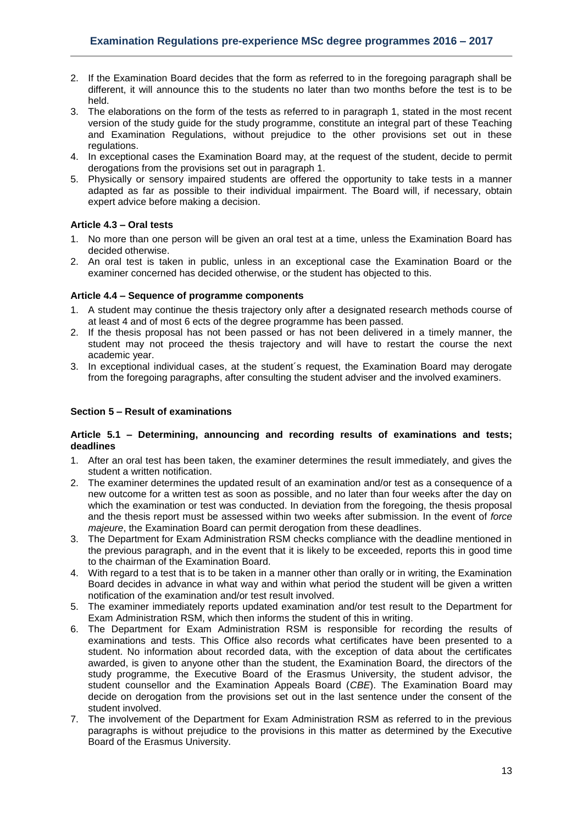- 2. If the Examination Board decides that the form as referred to in the foregoing paragraph shall be different, it will announce this to the students no later than two months before the test is to be held.
- 3. The elaborations on the form of the tests as referred to in paragraph 1, stated in the most recent version of the study guide for the study programme, constitute an integral part of these Teaching and Examination Regulations, without prejudice to the other provisions set out in these regulations.
- 4. In exceptional cases the Examination Board may, at the request of the student, decide to permit derogations from the provisions set out in paragraph 1.
- 5. Physically or sensory impaired students are offered the opportunity to take tests in a manner adapted as far as possible to their individual impairment. The Board will, if necessary, obtain expert advice before making a decision.

## <span id="page-12-0"></span>**Article 4.3 – Oral tests**

- 1. No more than one person will be given an oral test at a time, unless the Examination Board has decided otherwise.
- 2. An oral test is taken in public, unless in an exceptional case the Examination Board or the examiner concerned has decided otherwise, or the student has objected to this.

## <span id="page-12-1"></span>**Article 4.4 – Sequence of programme components**

- 1. A student may continue the thesis trajectory only after a designated research methods course of at least 4 and of most 6 ects of the degree programme has been passed.
- 2. If the thesis proposal has not been passed or has not been delivered in a timely manner, the student may not proceed the thesis trajectory and will have to restart the course the next academic year.
- 3. In exceptional individual cases, at the student´s request, the Examination Board may derogate from the foregoing paragraphs, after consulting the student adviser and the involved examiners.

## <span id="page-12-2"></span>**Section 5 – Result of examinations**

#### <span id="page-12-3"></span>**Article 5.1 – Determining, announcing and recording results of examinations and tests; deadlines**

- 1. After an oral test has been taken, the examiner determines the result immediately, and gives the student a written notification.
- 2. The examiner determines the updated result of an examination and/or test as a consequence of a new outcome for a written test as soon as possible, and no later than four weeks after the day on which the examination or test was conducted. In deviation from the foregoing, the thesis proposal and the thesis report must be assessed within two weeks after submission. In the event of *force majeure*, the Examination Board can permit derogation from these deadlines.
- 3. The Department for Exam Administration RSM checks compliance with the deadline mentioned in the previous paragraph, and in the event that it is likely to be exceeded, reports this in good time to the chairman of the Examination Board.
- 4. With regard to a test that is to be taken in a manner other than orally or in writing, the Examination Board decides in advance in what way and within what period the student will be given a written notification of the examination and/or test result involved.
- 5. The examiner immediately reports updated examination and/or test result to the Department for Exam Administration RSM, which then informs the student of this in writing.
- 6. The Department for Exam Administration RSM is responsible for recording the results of examinations and tests. This Office also records what certificates have been presented to a student. No information about recorded data, with the exception of data about the certificates awarded, is given to anyone other than the student, the Examination Board, the directors of the study programme, the Executive Board of the Erasmus University, the student advisor, the student counsellor and the Examination Appeals Board (*CBE*). The Examination Board may decide on derogation from the provisions set out in the last sentence under the consent of the student involved.
- 7. The involvement of the Department for Exam Administration RSM as referred to in the previous paragraphs is without prejudice to the provisions in this matter as determined by the Executive Board of the Erasmus University.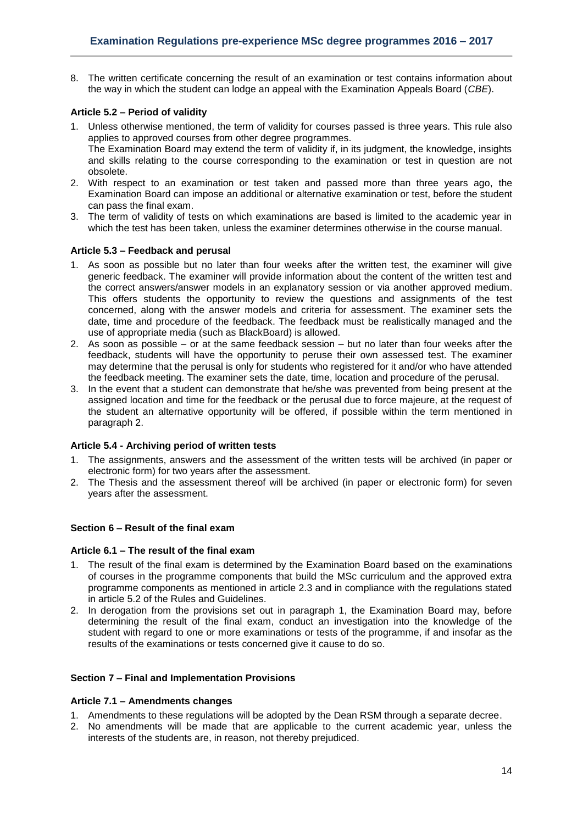8. The written certificate concerning the result of an examination or test contains information about the way in which the student can lodge an appeal with the Examination Appeals Board (*CBE*).

## <span id="page-13-0"></span>**Article 5.2 – Period of validity**

- 1. Unless otherwise mentioned, the term of validity for courses passed is three years. This rule also applies to approved courses from other degree programmes. The Examination Board may extend the term of validity if, in its judgment, the knowledge, insights and skills relating to the course corresponding to the examination or test in question are not obsolete.
- 2. With respect to an examination or test taken and passed more than three years ago, the Examination Board can impose an additional or alternative examination or test, before the student can pass the final exam.
- 3. The term of validity of tests on which examinations are based is limited to the academic year in which the test has been taken, unless the examiner determines otherwise in the course manual.

#### <span id="page-13-1"></span>**Article 5.3 – Feedback and perusal**

- 1. As soon as possible but no later than four weeks after the written test, the examiner will give generic feedback. The examiner will provide information about the content of the written test and the correct answers/answer models in an explanatory session or via another approved medium. This offers students the opportunity to review the questions and assignments of the test concerned, along with the answer models and criteria for assessment. The examiner sets the date, time and procedure of the feedback. The feedback must be realistically managed and the use of appropriate media (such as BlackBoard) is allowed.
- 2. As soon as possible or at the same feedback session but no later than four weeks after the feedback, students will have the opportunity to peruse their own assessed test. The examiner may determine that the perusal is only for students who registered for it and/or who have attended the feedback meeting. The examiner sets the date, time, location and procedure of the perusal.
- 3. In the event that a student can demonstrate that he/she was prevented from being present at the assigned location and time for the feedback or the perusal due to force majeure, at the request of the student an alternative opportunity will be offered, if possible within the term mentioned in paragraph 2.

## <span id="page-13-2"></span>**Article 5.4 - Archiving period of written tests**

- 1. The assignments, answers and the assessment of the written tests will be archived (in paper or electronic form) for two years after the assessment.
- 2. The Thesis and the assessment thereof will be archived (in paper or electronic form) for seven years after the assessment.

## <span id="page-13-3"></span>**Section 6 – Result of the final exam**

#### <span id="page-13-4"></span>**Article 6.1 – The result of the final exam**

- 1. The result of the final exam is determined by the Examination Board based on the examinations of courses in the programme components that build the MSc curriculum and the approved extra programme components as mentioned in article 2.3 and in compliance with the regulations stated in article 5.2 of the Rules and Guidelines.
- 2. In derogation from the provisions set out in paragraph 1, the Examination Board may, before determining the result of the final exam, conduct an investigation into the knowledge of the student with regard to one or more examinations or tests of the programme, if and insofar as the results of the examinations or tests concerned give it cause to do so.

#### <span id="page-13-5"></span>**Section 7 – Final and Implementation Provisions**

#### <span id="page-13-6"></span>**Article 7.1 – Amendments changes**

- 1. Amendments to these regulations will be adopted by the Dean RSM through a separate decree.
- 2. No amendments will be made that are applicable to the current academic year, unless the interests of the students are, in reason, not thereby prejudiced.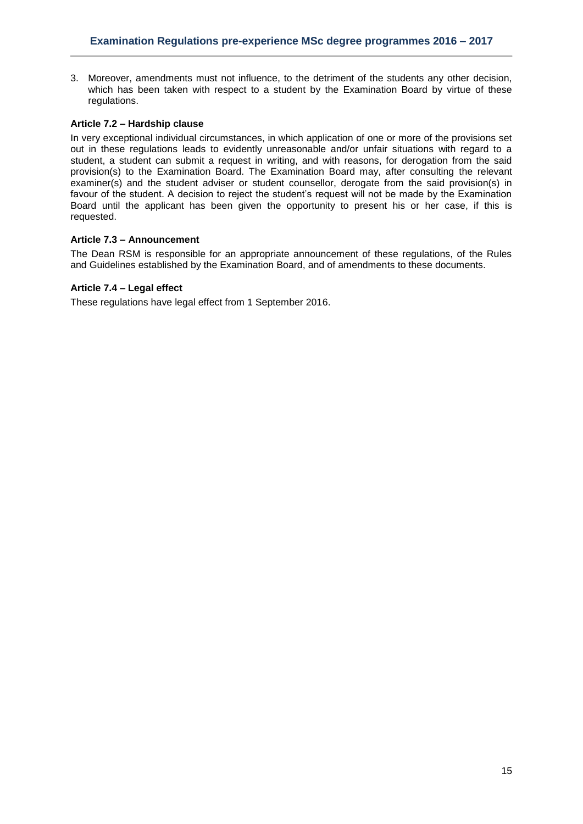3. Moreover, amendments must not influence, to the detriment of the students any other decision, which has been taken with respect to a student by the Examination Board by virtue of these regulations.

## <span id="page-14-0"></span>**Article 7.2 – Hardship clause**

In very exceptional individual circumstances, in which application of one or more of the provisions set out in these regulations leads to evidently unreasonable and/or unfair situations with regard to a student, a student can submit a request in writing, and with reasons, for derogation from the said provision(s) to the Examination Board. The Examination Board may, after consulting the relevant examiner(s) and the student adviser or student counsellor, derogate from the said provision(s) in favour of the student. A decision to reject the student's request will not be made by the Examination Board until the applicant has been given the opportunity to present his or her case, if this is requested.

#### <span id="page-14-1"></span>**Article 7.3 – Announcement**

The Dean RSM is responsible for an appropriate announcement of these regulations, of the Rules and Guidelines established by the Examination Board, and of amendments to these documents.

#### <span id="page-14-2"></span>**Article 7.4 – Legal effect**

These regulations have legal effect from 1 September 2016.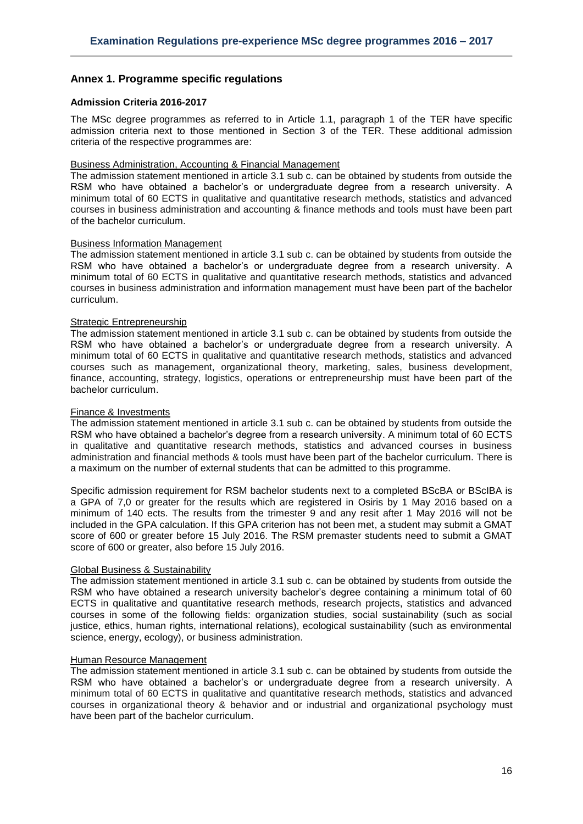## <span id="page-15-0"></span>**Annex 1. Programme specific regulations**

## <span id="page-15-1"></span>**Admission Criteria 2016-2017**

The MSc degree programmes as referred to in Article 1.1, paragraph 1 of the TER have specific admission criteria next to those mentioned in Section 3 of the TER. These additional admission criteria of the respective programmes are:

#### Business Administration, Accounting & Financial Management

The admission statement mentioned in article 3.1 sub c. can be obtained by students from outside the RSM who have obtained a bachelor's or undergraduate degree from a research university. A minimum total of 60 ECTS in qualitative and quantitative research methods, statistics and advanced courses in business administration and accounting & finance methods and tools must have been part of the bachelor curriculum.

#### Business Information Management

The admission statement mentioned in article 3.1 sub c. can be obtained by students from outside the RSM who have obtained a bachelor's or undergraduate degree from a research university. A minimum total of 60 ECTS in qualitative and quantitative research methods, statistics and advanced courses in business administration and information management must have been part of the bachelor curriculum.

#### Strategic Entrepreneurship

The admission statement mentioned in article 3.1 sub c. can be obtained by students from outside the RSM who have obtained a bachelor's or undergraduate degree from a research university. A minimum total of 60 ECTS in qualitative and quantitative research methods, statistics and advanced courses such as management, organizational theory, marketing, sales, business development, finance, accounting, strategy, logistics, operations or entrepreneurship must have been part of the bachelor curriculum.

#### Finance & Investments

The admission statement mentioned in article 3.1 sub c. can be obtained by students from outside the RSM who have obtained a bachelor's degree from a research university. A minimum total of 60 ECTS in qualitative and quantitative research methods, statistics and advanced courses in business administration and financial methods & tools must have been part of the bachelor curriculum. There is a maximum on the number of external students that can be admitted to this programme.

Specific admission requirement for RSM bachelor students next to a completed BScBA or BScIBA is a GPA of 7,0 or greater for the results which are registered in Osiris by 1 May 2016 based on a minimum of 140 ects. The results from the trimester 9 and any resit after 1 May 2016 will not be included in the GPA calculation. If this GPA criterion has not been met, a student may submit a GMAT score of 600 or greater before 15 July 2016. The RSM premaster students need to submit a GMAT score of 600 or greater, also before 15 July 2016.

#### Global Business & Sustainability

The admission statement mentioned in article 3.1 sub c. can be obtained by students from outside the RSM who have obtained a research university bachelor's degree containing a minimum total of 60 ECTS in qualitative and quantitative research methods, research projects, statistics and advanced courses in some of the following fields: organization studies, social sustainability (such as social justice, ethics, human rights, international relations), ecological sustainability (such as environmental science, energy, ecology), or business administration.

#### Human Resource Management

The admission statement mentioned in article 3.1 sub c. can be obtained by students from outside the RSM who have obtained a bachelor's or undergraduate degree from a research university. A minimum total of 60 ECTS in qualitative and quantitative research methods, statistics and advanced courses in organizational theory & behavior and or industrial and organizational psychology must have been part of the bachelor curriculum.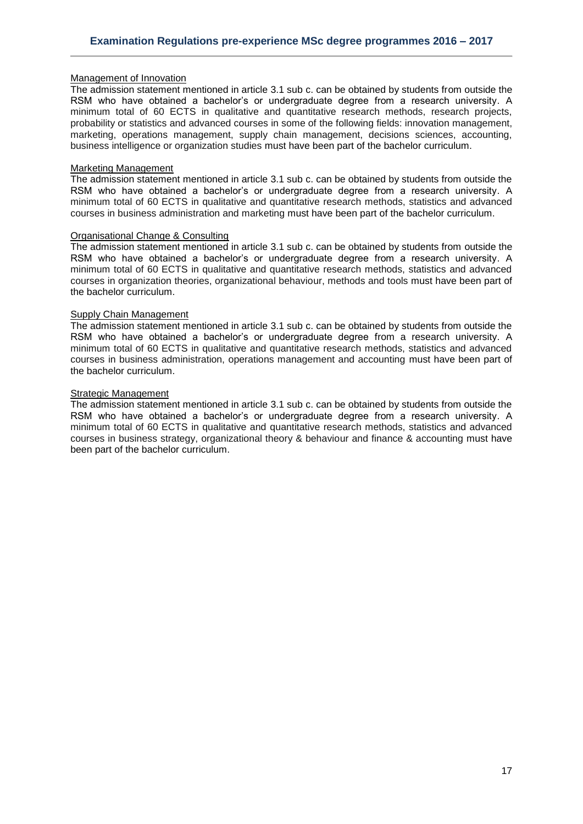#### Management of Innovation

The admission statement mentioned in article 3.1 sub c. can be obtained by students from outside the RSM who have obtained a bachelor's or undergraduate degree from a research university. A minimum total of 60 ECTS in qualitative and quantitative research methods, research projects, probability or statistics and advanced courses in some of the following fields: innovation management, marketing, operations management, supply chain management, decisions sciences, accounting, business intelligence or organization studies must have been part of the bachelor curriculum.

#### Marketing Management

The admission statement mentioned in article 3.1 sub c. can be obtained by students from outside the RSM who have obtained a bachelor's or undergraduate degree from a research university. A minimum total of 60 ECTS in qualitative and quantitative research methods, statistics and advanced courses in business administration and marketing must have been part of the bachelor curriculum.

## Organisational Change & Consulting

The admission statement mentioned in article 3.1 sub c. can be obtained by students from outside the RSM who have obtained a bachelor's or undergraduate degree from a research university. A minimum total of 60 ECTS in qualitative and quantitative research methods, statistics and advanced courses in organization theories, organizational behaviour, methods and tools must have been part of the bachelor curriculum.

#### Supply Chain Management

The admission statement mentioned in article 3.1 sub c. can be obtained by students from outside the RSM who have obtained a bachelor's or undergraduate degree from a research university. A minimum total of 60 ECTS in qualitative and quantitative research methods, statistics and advanced courses in business administration, operations management and accounting must have been part of the bachelor curriculum.

## **Strategic Management**

The admission statement mentioned in article 3.1 sub c. can be obtained by students from outside the RSM who have obtained a bachelor's or undergraduate degree from a research university. A minimum total of 60 ECTS in qualitative and quantitative research methods, statistics and advanced courses in business strategy, organizational theory & behaviour and finance & accounting must have been part of the bachelor curriculum.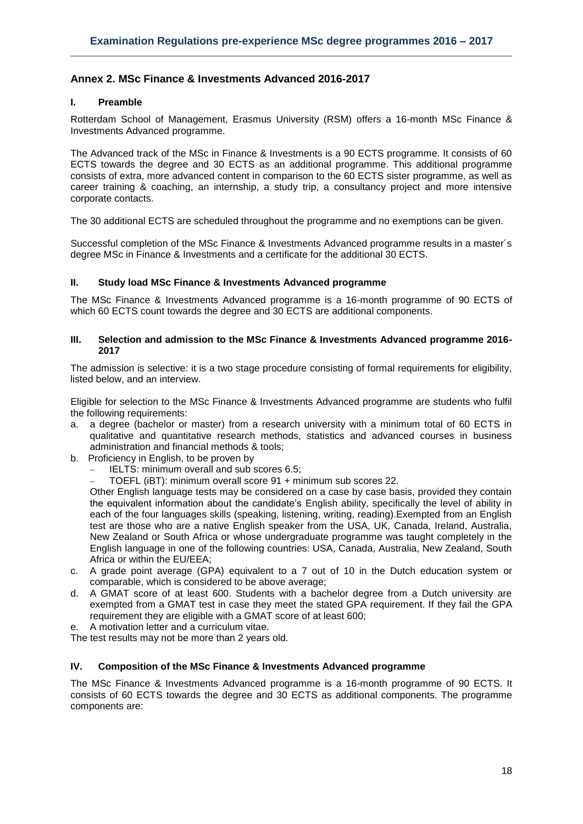## <span id="page-17-0"></span>**Annex 2. MSc Finance & Investments Advanced 2016-2017**

## **I. Preamble**

Rotterdam School of Management, Erasmus University (RSM) offers a 16-month MSc Finance & Investments Advanced programme.

The Advanced track of the MSc in Finance & Investments is a 90 ECTS programme. It consists of 60 ECTS towards the degree and 30 ECTS as an additional programme. This additional programme consists of extra, more advanced content in comparison to the 60 ECTS sister programme, as well as career training & coaching, an internship, a study trip, a consultancy project and more intensive corporate contacts.

The 30 additional ECTS are scheduled throughout the programme and no exemptions can be given.

Successful completion of the MSc Finance & Investments Advanced programme results in a master´s degree MSc in Finance & Investments and a certificate for the additional 30 ECTS.

#### **II. Study load MSc Finance & Investments Advanced programme**

The MSc Finance & Investments Advanced programme is a 16-month programme of 90 ECTS of which 60 ECTS count towards the degree and 30 ECTS are additional components.

#### **III. Selection and admission to the MSc Finance & Investments Advanced programme 2016- 2017**

The admission is selective: it is a two stage procedure consisting of formal requirements for eligibility, listed below, and an interview.

Eligible for selection to the MSc Finance & Investments Advanced programme are students who fulfil the following requirements:

- a. a degree (bachelor or master) from a research university with a minimum total of 60 ECTS in qualitative and quantitative research methods, statistics and advanced courses in business administration and financial methods & tools;
- b. Proficiency in English, to be proven by
	- IELTS: minimum overall and sub scores 6.5;
		- TOEFL (iBT): minimum overall score 91 + minimum sub scores 22.

Other English language tests may be considered on a case by case basis, provided they contain the equivalent information about the candidate's English ability, specifically the level of ability in each of the four languages skills (speaking, listening, writing, reading).Exempted from an English test are those who are a native English speaker from the USA, UK, Canada, Ireland, Australia, New Zealand or South Africa or whose undergraduate programme was taught completely in the English language in one of the following countries: USA, Canada, Australia, New Zealand, South Africa or within the EU/EEA;

- c. A grade point average (GPA) equivalent to a 7 out of 10 in the Dutch education system or comparable, which is considered to be above average;
- d. A GMAT score of at least 600. Students with a bachelor degree from a Dutch university are exempted from a GMAT test in case they meet the stated GPA requirement. If they fail the GPA requirement they are eligible with a GMAT score of at least 600;
- e. A motivation letter and a curriculum vitae.

The test results may not be more than 2 years old.

## **IV. Composition of the MSc Finance & Investments Advanced programme**

The MSc Finance & Investments Advanced programme is a 16-month programme of 90 ECTS. It consists of 60 ECTS towards the degree and 30 ECTS as additional components. The programme components are: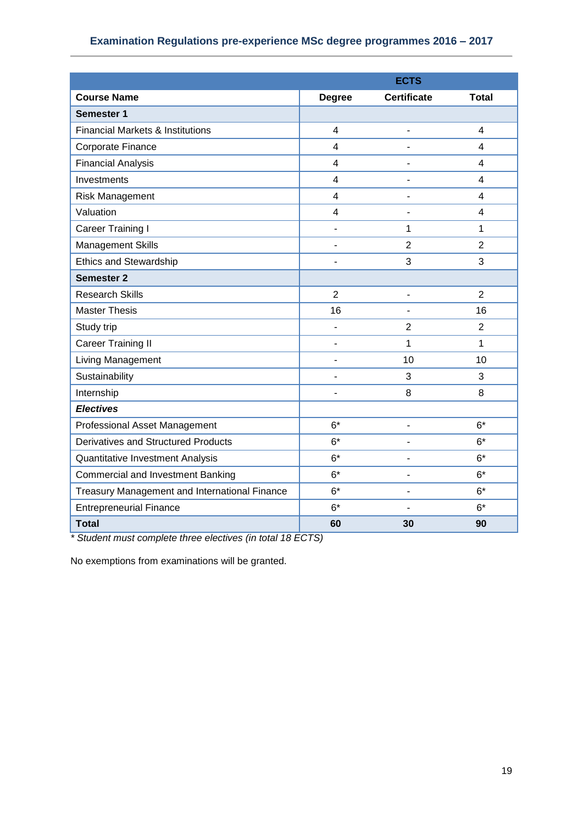## **Examination Regulations pre-experience MSc degree programmes 2016 – 2017**

|                                                                                              | <b>ECTS</b>    |                    |                |  |  |  |  |
|----------------------------------------------------------------------------------------------|----------------|--------------------|----------------|--|--|--|--|
| <b>Course Name</b>                                                                           | <b>Degree</b>  | <b>Certificate</b> | <b>Total</b>   |  |  |  |  |
| <b>Semester 1</b>                                                                            |                |                    |                |  |  |  |  |
| <b>Financial Markets &amp; Institutions</b>                                                  | $\overline{4}$ | Ĭ.                 | $\overline{4}$ |  |  |  |  |
| Corporate Finance                                                                            | $\overline{4}$ | ä,                 | $\overline{4}$ |  |  |  |  |
| <b>Financial Analysis</b>                                                                    | $\overline{4}$ |                    | 4              |  |  |  |  |
| Investments                                                                                  | 4              |                    | $\overline{4}$ |  |  |  |  |
| Risk Management                                                                              | $\overline{4}$ | ٠                  | 4              |  |  |  |  |
| Valuation                                                                                    | 4              |                    | 4              |  |  |  |  |
| Career Training I                                                                            | $\blacksquare$ | 1                  | 1              |  |  |  |  |
| <b>Management Skills</b>                                                                     | ÷,             | $\overline{2}$     | $\overline{2}$ |  |  |  |  |
| <b>Ethics and Stewardship</b>                                                                | $\blacksquare$ | 3                  | 3              |  |  |  |  |
| <b>Semester 2</b>                                                                            |                |                    |                |  |  |  |  |
| <b>Research Skills</b>                                                                       | $\overline{2}$ | ÷                  | $\overline{2}$ |  |  |  |  |
| <b>Master Thesis</b>                                                                         | 16             | ÷                  | 16             |  |  |  |  |
| Study trip                                                                                   | $\blacksquare$ | $\overline{2}$     | $\overline{2}$ |  |  |  |  |
| <b>Career Training II</b>                                                                    |                | 1                  | 1              |  |  |  |  |
| Living Management                                                                            | ÷              | 10                 | 10             |  |  |  |  |
| Sustainability                                                                               | Ĭ.             | 3                  | 3              |  |  |  |  |
| Internship                                                                                   |                | 8                  | 8              |  |  |  |  |
| <b>Electives</b>                                                                             |                |                    |                |  |  |  |  |
| Professional Asset Management                                                                | $6*$           | ÷                  | $6*$           |  |  |  |  |
| <b>Derivatives and Structured Products</b>                                                   | $6*$           |                    | $6*$           |  |  |  |  |
| Quantitative Investment Analysis                                                             | $6*$           | ÷                  | $6*$           |  |  |  |  |
| <b>Commercial and Investment Banking</b>                                                     | $6*$           | L,                 | $6*$           |  |  |  |  |
| Treasury Management and International Finance                                                | $6*$           | ÷,                 | $6*$           |  |  |  |  |
| <b>Entrepreneurial Finance</b>                                                               | $6*$           |                    | $6*$           |  |  |  |  |
| <b>Total</b><br>$\Omega$ to the state of the three states $\Lambda$ is the state of $\Omega$ | 60             | 30                 | 90             |  |  |  |  |

*\* Student must complete three electives (in total 18 ECTS)*

No exemptions from examinations will be granted.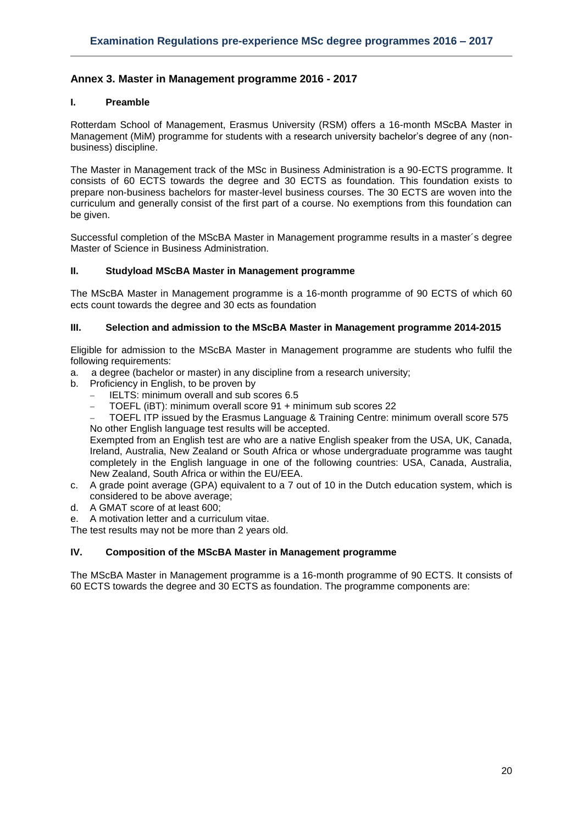## <span id="page-19-0"></span>**Annex 3. Master in Management programme 2016 - 2017**

## **I. Preamble**

Rotterdam School of Management, Erasmus University (RSM) offers a 16-month MScBA Master in Management (MiM) programme for students with a research university bachelor's degree of any (nonbusiness) discipline.

The Master in Management track of the MSc in Business Administration is a 90-ECTS programme. It consists of 60 ECTS towards the degree and 30 ECTS as foundation. This foundation exists to prepare non-business bachelors for master-level business courses. The 30 ECTS are woven into the curriculum and generally consist of the first part of a course. No exemptions from this foundation can be given.

Successful completion of the MScBA Master in Management programme results in a master´s degree Master of Science in Business Administration.

#### **II. Studyload MScBA Master in Management programme**

The MScBA Master in Management programme is a 16-month programme of 90 ECTS of which 60 ects count towards the degree and 30 ects as foundation

#### **III. Selection and admission to the MScBA Master in Management programme 2014-2015**

Eligible for admission to the MScBA Master in Management programme are students who fulfil the following requirements:

- a. a degree (bachelor or master) in any discipline from a research university;
- b. Proficiency in English, to be proven by
	- IELTS: minimum overall and sub scores 6.5
	- TOEFL (iBT): minimum overall score 91 + minimum sub scores 22
	- TOEFL ITP issued by the Erasmus Language & Training Centre: minimum overall score 575 No other English language test results will be accepted.

Exempted from an English test are who are a native English speaker from the USA, UK, Canada, Ireland, Australia, New Zealand or South Africa or whose undergraduate programme was taught completely in the English language in one of the following countries: USA, Canada, Australia, New Zealand, South Africa or within the EU/EEA.

- c. A grade point average (GPA) equivalent to a 7 out of 10 in the Dutch education system, which is considered to be above average;
- d. A GMAT score of at least 600;
- e. A motivation letter and a curriculum vitae.

The test results may not be more than 2 years old.

#### **IV. Composition of the MScBA Master in Management programme**

The MScBA Master in Management programme is a 16-month programme of 90 ECTS. It consists of 60 ECTS towards the degree and 30 ECTS as foundation. The programme components are: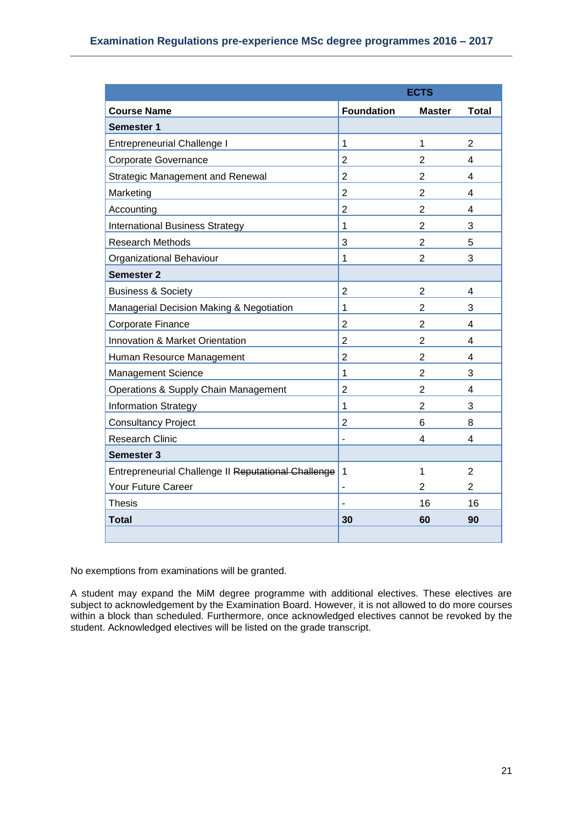| <b>ECTS</b>                                         |                   |                |                |  |  |  |  |
|-----------------------------------------------------|-------------------|----------------|----------------|--|--|--|--|
| <b>Course Name</b>                                  | <b>Foundation</b> | <b>Master</b>  | <b>Total</b>   |  |  |  |  |
| <b>Semester 1</b>                                   |                   |                |                |  |  |  |  |
| <b>Entrepreneurial Challenge I</b>                  | 1                 | 1              | 2              |  |  |  |  |
| <b>Corporate Governance</b>                         | $\overline{2}$    | 2              | 4              |  |  |  |  |
| <b>Strategic Management and Renewal</b>             | $\overline{2}$    | $\overline{2}$ | 4              |  |  |  |  |
| Marketing                                           | $\overline{2}$    | $\overline{2}$ | 4              |  |  |  |  |
| Accounting                                          | $\overline{2}$    | $\overline{2}$ | 4              |  |  |  |  |
| <b>International Business Strategy</b>              | 1                 | $\overline{2}$ | 3              |  |  |  |  |
| <b>Research Methods</b>                             | 3                 | $\overline{2}$ | 5              |  |  |  |  |
| Organizational Behaviour                            | 1                 | $\overline{2}$ | 3              |  |  |  |  |
| <b>Semester 2</b>                                   |                   |                |                |  |  |  |  |
| <b>Business &amp; Society</b>                       | $\overline{2}$    | $\overline{2}$ | 4              |  |  |  |  |
| Managerial Decision Making & Negotiation            | 1                 | $\overline{2}$ | 3              |  |  |  |  |
| Corporate Finance                                   | $\overline{2}$    | $\overline{2}$ | 4              |  |  |  |  |
| Innovation & Market Orientation                     | $\overline{2}$    | $\overline{2}$ | 4              |  |  |  |  |
| Human Resource Management                           | $\overline{2}$    | $\overline{2}$ | 4              |  |  |  |  |
| Management Science                                  | $\mathbf{1}$      | $\overline{2}$ | 3              |  |  |  |  |
| Operations & Supply Chain Management                | $\overline{2}$    | $\overline{2}$ | 4              |  |  |  |  |
| <b>Information Strategy</b>                         | 1                 | $\overline{2}$ | 3              |  |  |  |  |
| <b>Consultancy Project</b>                          | $\overline{2}$    | 6              | 8              |  |  |  |  |
| <b>Research Clinic</b>                              | $\blacksquare$    | 4              | 4              |  |  |  |  |
| <b>Semester 3</b>                                   |                   |                |                |  |  |  |  |
| Entrepreneurial Challenge II Reputational Challenge | 1                 | 1              | 2              |  |  |  |  |
| Your Future Career                                  |                   | 2              | $\overline{2}$ |  |  |  |  |
| Thesis                                              |                   | 16             | 16             |  |  |  |  |
| <b>Total</b>                                        | 30                | 60             | 90             |  |  |  |  |
|                                                     |                   |                |                |  |  |  |  |

No exemptions from examinations will be granted.

A student may expand the MiM degree programme with additional electives. These electives are subject to acknowledgement by the Examination Board. However, it is not allowed to do more courses within a block than scheduled. Furthermore, once acknowledged electives cannot be revoked by the student. Acknowledged electives will be listed on the grade transcript.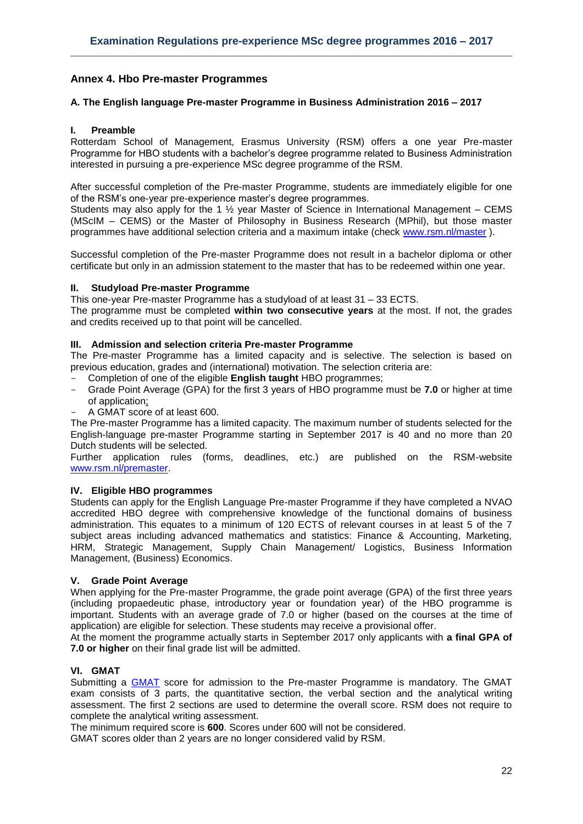## <span id="page-21-0"></span>**Annex 4. Hbo Pre-master Programmes**

#### <span id="page-21-1"></span>**A. The English language Pre-master Programme in Business Administration 2016 – 2017**

#### **I. Preamble**

Rotterdam School of Management, Erasmus University (RSM) offers a one year Pre-master Programme for HBO students with a bachelor's degree programme related to Business Administration interested in pursuing a pre-experience MSc degree programme of the RSM.

After successful completion of the Pre-master Programme, students are immediately eligible for one of the RSM's one-year pre-experience master's degree programmes.

Students may also apply for the 1  $\frac{1}{2}$  year Master of Science in International Management – CEMS (MScIM – CEMS) or the Master of Philosophy in Business Research (MPhil), but those master programmes have additional selection criteria and a maximum intake (check [www.rsm.nl/master](http://www.rsm.nl/master) ).

Successful completion of the Pre-master Programme does not result in a bachelor diploma or other certificate but only in an admission statement to the master that has to be redeemed within one year.

#### **II. Studyload Pre-master Programme**

This one-year Pre-master Programme has a studyload of at least 31 – 33 ECTS.

The programme must be completed **within two consecutive years** at the most. If not, the grades and credits received up to that point will be cancelled.

## **III. Admission and selection criteria Pre-master Programme**

The Pre-master Programme has a limited capacity and is selective. The selection is based on previous education, grades and (international) motivation. The selection criteria are:

- Completion of one of the eligible **English taught** HBO programmes;
- Grade Point Average (GPA) for the first 3 years of HBO programme must be **7.0** or higher at time of application;
- A GMAT score of at least 600.

The Pre-master Programme has a limited capacity. The maximum number of students selected for the English-language pre-master Programme starting in September 2017 is 40 and no more than 20 Dutch students will be selected.

Further application rules (forms, deadlines, etc.) are published on the RSM-website [www.rsm.nl/premaster.](http://www.rsm.nl/premaster)

#### **IV. Eligible HBO programmes**

Students can apply for the English Language Pre-master Programme if they have completed a NVAO accredited HBO degree with comprehensive knowledge of the functional domains of business administration. This equates to a minimum of 120 ECTS of relevant courses in at least 5 of the 7 subject areas including advanced mathematics and statistics: Finance & Accounting, Marketing, HRM, Strategic Management, Supply Chain Management/ Logistics, Business Information Management, (Business) Economics.

#### **V. Grade Point Average**

When applying for the Pre-master Programme, the grade point average (GPA) of the first three years (including propaedeutic phase, introductory year or foundation year) of the HBO programme is important. Students with an average grade of 7.0 or higher (based on the courses at the time of application) are eligible for selection. These students may receive a provisional offer.

At the moment the programme actually starts in September 2017 only applicants with **a final GPA of 7.0 or higher** on their final grade list will be admitted.

#### **VI. GMAT**

Submitting a [GMAT](http://www.mba.com/) score for admission to the Pre-master Programme is mandatory. The GMAT exam consists of 3 parts, the quantitative section, the verbal section and the analytical writing assessment. The first 2 sections are used to determine the overall score. RSM does not require to complete the analytical writing assessment.

The minimum required score is **600**. Scores under 600 will not be considered.

GMAT scores older than 2 years are no longer considered valid by RSM.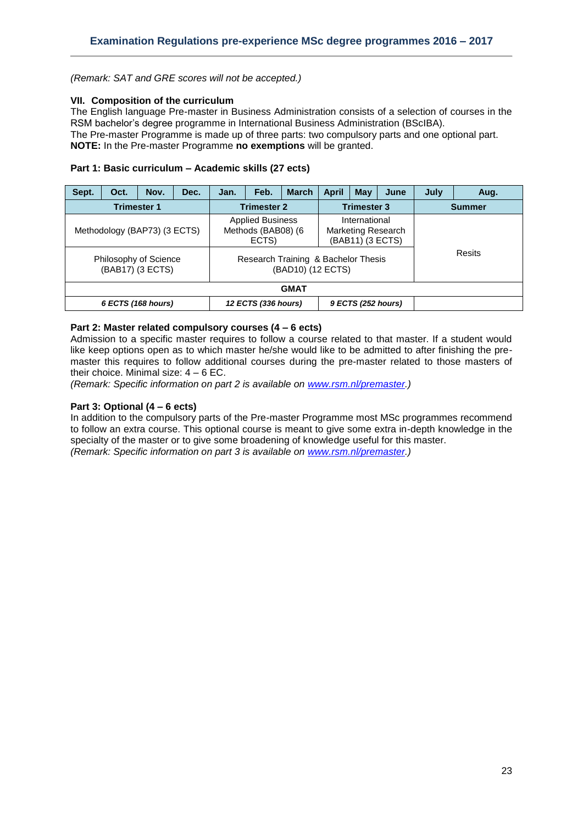*(Remark: SAT and GRE scores will not be accepted.)*

#### **VII. Composition of the curriculum**

The English language Pre-master in Business Administration consists of a selection of courses in the RSM bachelor's degree programme in International Business Administration (BScIBA). The Pre-master Programme is made up of three parts: two compulsory parts and one optional part.

**NOTE:** In the Pre-master Programme **no exemptions** will be granted.

#### **Part 1: Basic curriculum – Academic skills (27 ects)**

| Sept.                                                                     | Oct. | Nov. | Dec. | Jan.               | Feb.                                                   | <b>March</b> | <b>April</b>                                                                                                               | May | June               | July          | Aug.   |  |
|---------------------------------------------------------------------------|------|------|------|--------------------|--------------------------------------------------------|--------------|----------------------------------------------------------------------------------------------------------------------------|-----|--------------------|---------------|--------|--|
| <b>Trimester 1</b>                                                        |      |      |      | <b>Trimester 2</b> |                                                        |              | <b>Trimester 3</b>                                                                                                         |     |                    | <b>Summer</b> |        |  |
| Methodology (BAP73) (3 ECTS)<br>Philosophy of Science<br>(BAB17) (3 ECTS) |      |      |      |                    | <b>Applied Business</b><br>Methods (BAB08) (6<br>ECTS) |              | International<br><b>Marketing Research</b><br>(BAB11) (3 ECTS)<br>Research Training & Bachelor Thesis<br>(BAD10) (12 ECTS) |     |                    |               | Resits |  |
| <b>GMAT</b>                                                               |      |      |      |                    |                                                        |              |                                                                                                                            |     |                    |               |        |  |
| 6 ECTS (168 hours)                                                        |      |      |      |                    | 12 ECTS (336 hours)                                    |              |                                                                                                                            |     | 9 ECTS (252 hours) |               |        |  |

## **Part 2: Master related compulsory courses (4 – 6 ects)**

Admission to a specific master requires to follow a course related to that master. If a student would like keep options open as to which master he/she would like to be admitted to after finishing the premaster this requires to follow additional courses during the pre-master related to those masters of their choice. Minimal size:  $4 - 6$  EC.

*(Remark: Specific information on part 2 is available on [www.rsm.nl/premaster.](http://www.rsm.nl/premaster))*

## **Part 3: Optional (4 – 6 ects)**

In addition to the compulsory parts of the Pre-master Programme most MSc programmes recommend to follow an extra course. This optional course is meant to give some extra in-depth knowledge in the specialty of the master or to give some broadening of knowledge useful for this master. *(Remark: Specific information on part 3 is available on [www.rsm.nl/premaster.](http://www.rsm.nl/premaster))*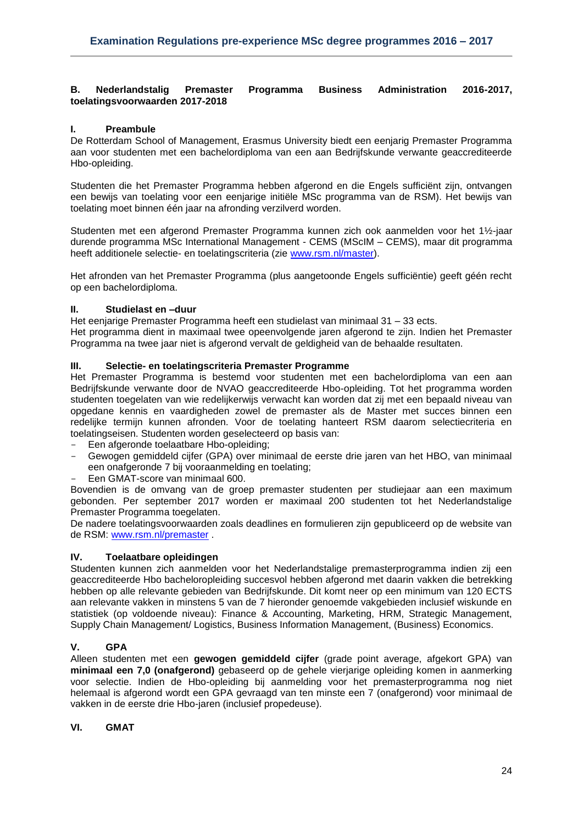#### <span id="page-23-0"></span>**B. Nederlandstalig Premaster Programma Business Administration 2016-2017, toelatingsvoorwaarden 2017-2018**

## **I. Preambule**

De Rotterdam School of Management, Erasmus University biedt een eenjarig Premaster Programma aan voor studenten met een bachelordiploma van een aan Bedrijfskunde verwante geaccrediteerde Hbo-opleiding.

Studenten die het Premaster Programma hebben afgerond en die Engels sufficiënt zijn, ontvangen een bewijs van toelating voor een eenjarige initiële MSc programma van de RSM). Het bewijs van toelating moet binnen één jaar na afronding verzilverd worden.

Studenten met een afgerond Premaster Programma kunnen zich ook aanmelden voor het 1½-jaar durende programma MSc International Management - CEMS (MScIM – CEMS), maar dit programma heeft additionele selectie- en toelatingscriteria (zie [www.rsm.nl/master\)](http://www.rsm.nl/master).

Het afronden van het Premaster Programma (plus aangetoonde Engels sufficiëntie) geeft géén recht op een bachelordiploma.

#### **II. Studielast en –duur**

Het eenjarige Premaster Programma heeft een studielast van minimaal 31 – 33 ects.

Het programma dient in maximaal twee opeenvolgende jaren afgerond te zijn. Indien het Premaster Programma na twee jaar niet is afgerond vervalt de geldigheid van de behaalde resultaten.

#### **III. Selectie- en toelatingscriteria Premaster Programme**

Het Premaster Programma is bestemd voor studenten met een bachelordiploma van een aan Bedrijfskunde verwante door de NVAO geaccrediteerde Hbo-opleiding. Tot het programma worden studenten toegelaten van wie redelijkerwijs verwacht kan worden dat zij met een bepaald niveau van opgedane kennis en vaardigheden zowel de premaster als de Master met succes binnen een redelijke termijn kunnen afronden. Voor de toelating hanteert RSM daarom selectiecriteria en toelatingseisen. Studenten worden geselecteerd op basis van:

- Een afgeronde toelaatbare Hbo-opleiding;
- Gewogen gemiddeld cijfer (GPA) over minimaal de eerste drie jaren van het HBO, van minimaal een onafgeronde 7 bij vooraanmelding en toelating;
- Een GMAT-score van minimaal 600.

Bovendien is de omvang van de groep premaster studenten per studiejaar aan een maximum gebonden. Per september 2017 worden er maximaal 200 studenten tot het Nederlandstalige Premaster Programma toegelaten.

De nadere toelatingsvoorwaarden zoals deadlines en formulieren zijn gepubliceerd op de website van de RSM: [www.rsm.nl/premaster](http://www.rsm.nl/premaster) .

#### **IV. Toelaatbare opleidingen**

Studenten kunnen zich aanmelden voor het Nederlandstalige premasterprogramma indien zij een geaccrediteerde Hbo bacheloropleiding succesvol hebben afgerond met daarin vakken die betrekking hebben op alle relevante gebieden van Bedrijfskunde. Dit komt neer op een minimum van 120 ECTS aan relevante vakken in minstens 5 van de 7 hieronder genoemde vakgebieden inclusief wiskunde en statistiek (op voldoende niveau): Finance & Accounting, Marketing, HRM, Strategic Management, Supply Chain Management/ Logistics, Business Information Management, (Business) Economics.

## **V. GPA**

Alleen studenten met een **gewogen gemiddeld cijfer** (grade point average, afgekort GPA) van **minimaal een 7,0 (onafgerond)** gebaseerd op de gehele vierjarige opleiding komen in aanmerking voor selectie. Indien de Hbo-opleiding bij aanmelding voor het premasterprogramma nog niet helemaal is afgerond wordt een GPA gevraagd van ten minste een 7 (onafgerond) voor minimaal de vakken in de eerste drie Hbo-jaren (inclusief propedeuse).

#### **VI. GMAT**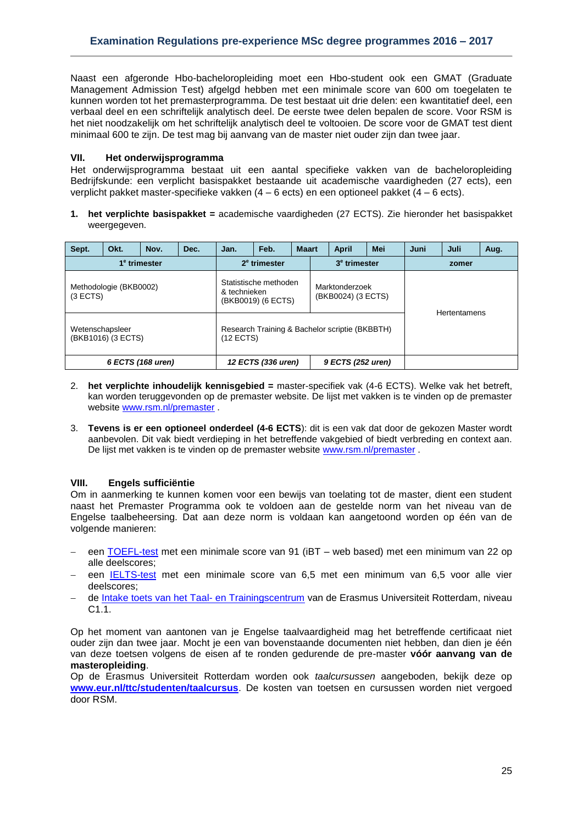Naast een afgeronde Hbo-bacheloropleiding moet een Hbo-student ook een GMAT (Graduate Management Admission Test) afgelgd hebben met een minimale score van 600 om toegelaten te kunnen worden tot het premasterprogramma. De test bestaat uit drie delen: een kwantitatief deel, een verbaal deel en een schriftelijk analytisch deel. De eerste twee delen bepalen de score. Voor RSM is het niet noodzakelijk om het schriftelijk analytisch deel te voltooien. De score voor de GMAT test dient minimaal 600 te zijn. De test mag bij aanvang van de master niet ouder zijn dan twee jaar.

#### **VII. Het onderwijsprogramma**

Het onderwijsprogramma bestaat uit een aantal specifieke vakken van de bacheloropleiding Bedrijfskunde: een verplicht basispakket bestaande uit academische vaardigheden (27 ects), een verplicht pakket master-specifieke vakken (4 – 6 ects) en een optioneel pakket (4 – 6 ects).

**1. het verplichte basispakket =** academische vaardigheden (27 ECTS). Zie hieronder het basispakket weergegeven.

| Sept.                                 | Okt.                     | Nov.                     | Dec.                                        | Jan.                                                          | Feb.                                 | <b>Maart</b>             |  | <b>April</b>        | Mei | Juni<br>Juli |  | Aug. |  |
|---------------------------------------|--------------------------|--------------------------|---------------------------------------------|---------------------------------------------------------------|--------------------------------------|--------------------------|--|---------------------|-----|--------------|--|------|--|
|                                       | 1 <sup>e</sup> trimester | 2 <sup>e</sup> trimester |                                             |                                                               |                                      | 3 <sup>e</sup> trimester |  | zomer               |     |              |  |      |  |
| (3 ECTS)                              | Methodologie (BKB0002)   | & technieken             | Statistische methoden<br>(BKB0019) (6 ECTS) |                                                               | Marktonderzoek<br>(BKB0024) (3 ECTS) |                          |  | <b>Hertentamens</b> |     |              |  |      |  |
| Wetenschapsleer<br>(BKB1016) (3 ECTS) |                          |                          |                                             | Research Training & Bachelor scriptie (BKBBTH)<br>$(12$ ECTS) |                                      |                          |  |                     |     |              |  |      |  |
| 6 ECTS (168 uren)                     |                          |                          |                                             | 12 ECTS (336 uren)<br>9 ECTS (252 uren)                       |                                      |                          |  |                     |     |              |  |      |  |

- 2. **het verplichte inhoudelijk kennisgebied =** master-specifiek vak (4-6 ECTS). Welke vak het betreft, kan worden teruggevonden op de premaster website. De lijst met vakken is te vinden op de premaster website [www.rsm.nl/premaster](http://www.rsm.nl/premaster) .
- 3. **Tevens is er een optioneel onderdeel (4-6 ECTS**): dit is een vak dat door de gekozen Master wordt aanbevolen. Dit vak biedt verdieping in het betreffende vakgebied of biedt verbreding en context aan. De lijst met vakken is te vinden op de premaster website [www.rsm.nl/premaster](http://www.rsm.nl/premaster) .

## **VIII. Engels sufficiëntie**

Om in aanmerking te kunnen komen voor een bewijs van toelating tot de master, dient een student naast het Premaster Programma ook te voldoen aan de gestelde norm van het niveau van de Engelse taalbeheersing. Dat aan deze norm is voldaan kan aangetoond worden op één van de volgende manieren:

- een [TOEFL-test](http://www.toefl.org/) met een minimale score van 91 (iBT web based) met een minimum van 22 op alle deelscores;
- een [IELTS-test](http://www.ielts.org/) met een minimale score van 6,5 met een minimum van 6,5 voor alle vier deelscores;
- de [Intake toets van het Taal-](http://www.eur.nl/ttc/studenten/taaltoets/) en Trainingscentrum van de Erasmus Universiteit Rotterdam, niveau C1.1.

Op het moment van aantonen van je Engelse taalvaardigheid mag het betreffende certificaat niet ouder zijn dan twee jaar. Mocht je een van bovenstaande documenten niet hebben, dan dien je één van deze toetsen volgens de eisen af te ronden gedurende de pre-master **vóór aanvang van de masteropleiding**.

Op de Erasmus Universiteit Rotterdam worden ook *taalcursussen* aangeboden, bekijk deze op **[www.eur.nl/ttc/studenten/taalcursus](http://www.eur.nl/ttc/studenten/taalcursus)**. De kosten van toetsen en cursussen worden niet vergoed door RSM.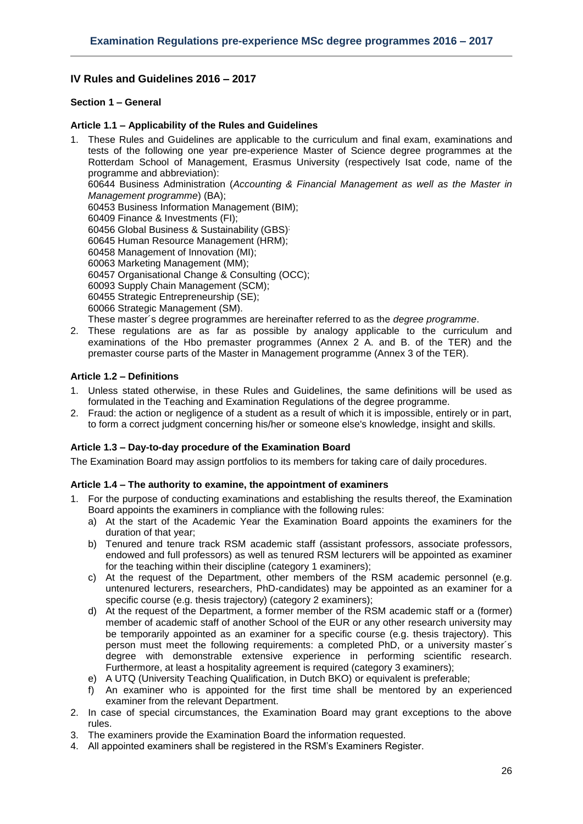## <span id="page-25-0"></span>**IV Rules and Guidelines 2016 – 2017**

## <span id="page-25-1"></span>**Section 1 – General**

#### <span id="page-25-2"></span>**Article 1.1 – Applicability of the Rules and Guidelines**

- 1. These Rules and Guidelines are applicable to the curriculum and final exam, examinations and tests of the following one year pre-experience Master of Science degree programmes at the Rotterdam School of Management, Erasmus University (respectively Isat code, name of the programme and abbreviation): 60644 Business Administration (*Accounting & Financial Management as well as the Master in Management programme*) (BA); 60453 Business Information Management (BIM); 60409 Finance & Investments (FI); 60456 Global Business & Sustainability (GBS) ; 60645 Human Resource Management (HRM); 60458 Management of Innovation (MI); 60063 Marketing Management (MM); 60457 Organisational Change & Consulting (OCC); 60093 Supply Chain Management (SCM); 60455 Strategic Entrepreneurship (SE); 60066 Strategic Management (SM). These master´s degree programmes are hereinafter referred to as the *degree programme*.
- 2. These regulations are as far as possible by analogy applicable to the curriculum and examinations of the Hbo premaster programmes (Annex 2 A. and B. of the TER) and the premaster course parts of the Master in Management programme (Annex 3 of the TER).

#### <span id="page-25-3"></span>**Article 1.2 – Definitions**

- 1. Unless stated otherwise, in these Rules and Guidelines, the same definitions will be used as formulated in the Teaching and Examination Regulations of the degree programme.
- 2. Fraud: the action or negligence of a student as a result of which it is impossible, entirely or in part, to form a correct judgment concerning his/her or someone else's knowledge, insight and skills.

#### <span id="page-25-4"></span>**Article 1.3 – Day-to-day procedure of the Examination Board**

<span id="page-25-5"></span>The Examination Board may assign portfolios to its members for taking care of daily procedures.

#### **Article 1.4 – The authority to examine, the appointment of examiners**

- 1. For the purpose of conducting examinations and establishing the results thereof, the Examination Board appoints the examiners in compliance with the following rules:
	- a) At the start of the Academic Year the Examination Board appoints the examiners for the duration of that year;
	- b) Tenured and tenure track RSM academic staff (assistant professors, associate professors, endowed and full professors) as well as tenured RSM lecturers will be appointed as examiner for the teaching within their discipline (category 1 examiners);
	- c) At the request of the Department, other members of the RSM academic personnel (e.g. untenured lecturers, researchers, PhD-candidates) may be appointed as an examiner for a specific course (e.g. thesis trajectory) (category 2 examiners);
	- d) At the request of the Department, a former member of the RSM academic staff or a (former) member of academic staff of another School of the EUR or any other research university may be temporarily appointed as an examiner for a specific course (e.g. thesis trajectory). This person must meet the following requirements: a completed PhD, or a university master´s degree with demonstrable extensive experience in performing scientific research. Furthermore, at least a hospitality agreement is required (category 3 examiners);
	- e) A UTQ (University Teaching Qualification, in Dutch BKO) or equivalent is preferable;
	- f) An examiner who is appointed for the first time shall be mentored by an experienced examiner from the relevant Department.
- 2. In case of special circumstances, the Examination Board may grant exceptions to the above rules.
- 3. The examiners provide the Examination Board the information requested.
- 4. All appointed examiners shall be registered in the RSM's Examiners Register.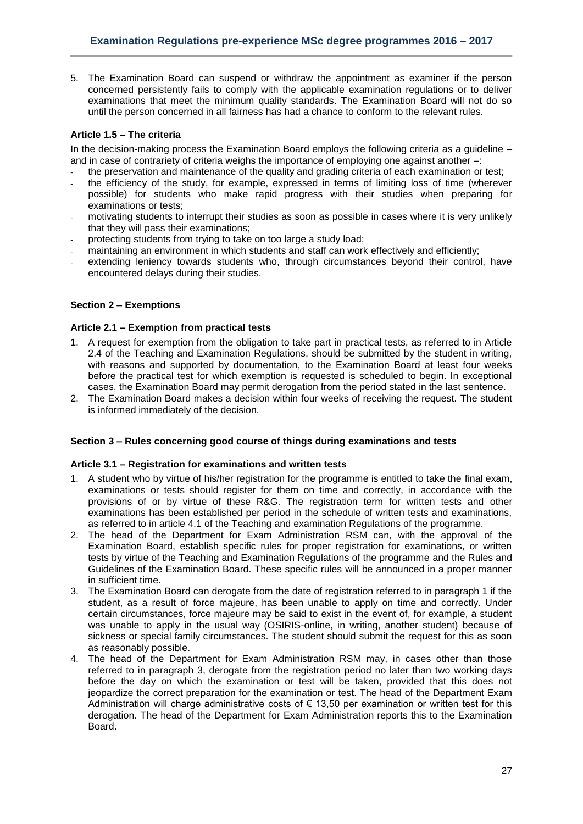5. The Examination Board can suspend or withdraw the appointment as examiner if the person concerned persistently fails to comply with the applicable examination regulations or to deliver examinations that meet the minimum quality standards. The Examination Board will not do so until the person concerned in all fairness has had a chance to conform to the relevant rules.

## <span id="page-26-0"></span>**Article 1.5 – The criteria**

In the decision-making process the Examination Board employs the following criteria as a guideline – and in case of contrariety of criteria weighs the importance of employing one against another –:

- the preservation and maintenance of the quality and grading criteria of each examination or test;
- the efficiency of the study, for example, expressed in terms of limiting loss of time (wherever possible) for students who make rapid progress with their studies when preparing for examinations or tests;
- motivating students to interrupt their studies as soon as possible in cases where it is very unlikely that they will pass their examinations;
- protecting students from trying to take on too large a study load;
- maintaining an environment in which students and staff can work effectively and efficiently;
- extending leniency towards students who, through circumstances beyond their control, have encountered delays during their studies.

### <span id="page-26-1"></span>**Section 2 – Exemptions**

### <span id="page-26-2"></span>**Article 2.1 – Exemption from practical tests**

- 1. A request for exemption from the obligation to take part in practical tests, as referred to in Article 2.4 of the Teaching and Examination Regulations, should be submitted by the student in writing, with reasons and supported by documentation, to the Examination Board at least four weeks before the practical test for which exemption is requested is scheduled to begin. In exceptional cases, the Examination Board may permit derogation from the period stated in the last sentence.
- 2. The Examination Board makes a decision within four weeks of receiving the request. The student is informed immediately of the decision.

#### <span id="page-26-3"></span>**Section 3 – Rules concerning good course of things during examinations and tests**

#### <span id="page-26-4"></span>**Article 3.1 – Registration for examinations and written tests**

- 1. A student who by virtue of his/her registration for the programme is entitled to take the final exam, examinations or tests should register for them on time and correctly, in accordance with the provisions of or by virtue of these R&G. The registration term for written tests and other examinations has been established per period in the schedule of written tests and examinations, as referred to in article 4.1 of the Teaching and examination Regulations of the programme.
- 2. The head of the Department for Exam Administration RSM can, with the approval of the Examination Board, establish specific rules for proper registration for examinations, or written tests by virtue of the Teaching and Examination Regulations of the programme and the Rules and Guidelines of the Examination Board. These specific rules will be announced in a proper manner in sufficient time.
- 3. The Examination Board can derogate from the date of registration referred to in paragraph 1 if the student, as a result of force majeure, has been unable to apply on time and correctly. Under certain circumstances, force majeure may be said to exist in the event of, for example, a student was unable to apply in the usual way (OSIRIS-online, in writing, another student) because of sickness or special family circumstances. The student should submit the request for this as soon as reasonably possible.
- 4. The head of the Department for Exam Administration RSM may, in cases other than those referred to in paragraph 3, derogate from the registration period no later than two working days before the day on which the examination or test will be taken, provided that this does not jeopardize the correct preparation for the examination or test. The head of the Department Exam Administration will charge administrative costs of  $\epsilon$  13,50 per examination or written test for this derogation. The head of the Department for Exam Administration reports this to the Examination Board.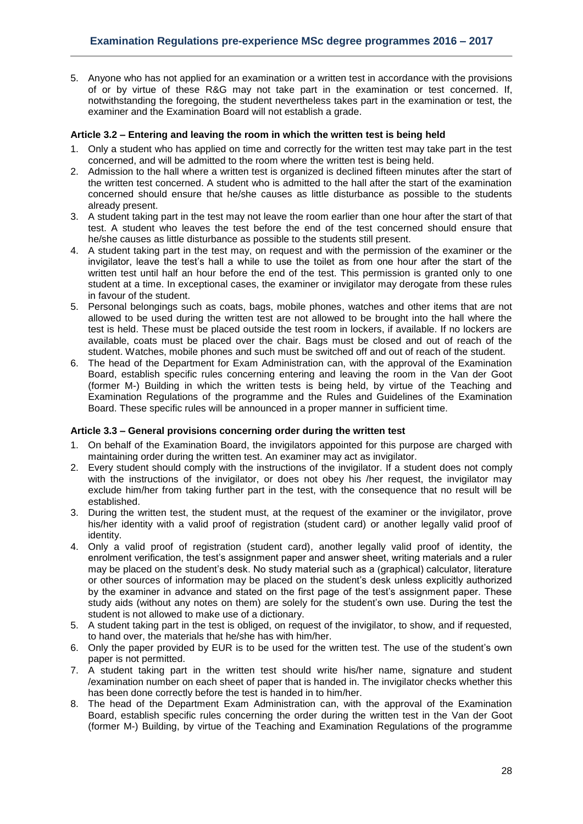5. Anyone who has not applied for an examination or a written test in accordance with the provisions of or by virtue of these R&G may not take part in the examination or test concerned. If, notwithstanding the foregoing, the student nevertheless takes part in the examination or test, the examiner and the Examination Board will not establish a grade.

#### <span id="page-27-0"></span>**Article 3.2 – Entering and leaving the room in which the written test is being held**

- 1. Only a student who has applied on time and correctly for the written test may take part in the test concerned, and will be admitted to the room where the written test is being held.
- 2. Admission to the hall where a written test is organized is declined fifteen minutes after the start of the written test concerned. A student who is admitted to the hall after the start of the examination concerned should ensure that he/she causes as little disturbance as possible to the students already present.
- 3. A student taking part in the test may not leave the room earlier than one hour after the start of that test. A student who leaves the test before the end of the test concerned should ensure that he/she causes as little disturbance as possible to the students still present.
- 4. A student taking part in the test may, on request and with the permission of the examiner or the invigilator, leave the test's hall a while to use the toilet as from one hour after the start of the written test until half an hour before the end of the test. This permission is granted only to one student at a time. In exceptional cases, the examiner or invigilator may derogate from these rules in favour of the student.
- 5. Personal belongings such as coats, bags, mobile phones, watches and other items that are not allowed to be used during the written test are not allowed to be brought into the hall where the test is held. These must be placed outside the test room in lockers, if available. If no lockers are available, coats must be placed over the chair. Bags must be closed and out of reach of the student. Watches, mobile phones and such must be switched off and out of reach of the student.
- 6. The head of the Department for Exam Administration can, with the approval of the Examination Board, establish specific rules concerning entering and leaving the room in the Van der Goot (former M-) Building in which the written tests is being held, by virtue of the Teaching and Examination Regulations of the programme and the Rules and Guidelines of the Examination Board. These specific rules will be announced in a proper manner in sufficient time.

#### <span id="page-27-1"></span>**Article 3.3 – General provisions concerning order during the written test**

- 1. On behalf of the Examination Board, the invigilators appointed for this purpose are charged with maintaining order during the written test. An examiner may act as invigilator.
- 2. Every student should comply with the instructions of the invigilator. If a student does not comply with the instructions of the invigilator, or does not obey his /her request, the invigilator may exclude him/her from taking further part in the test, with the consequence that no result will be established.
- 3. During the written test, the student must, at the request of the examiner or the invigilator, prove his/her identity with a valid proof of registration (student card) or another legally valid proof of identity.
- 4. Only a valid proof of registration (student card), another legally valid proof of identity, the enrolment verification, the test's assignment paper and answer sheet, writing materials and a ruler may be placed on the student's desk. No study material such as a (graphical) calculator, literature or other sources of information may be placed on the student's desk unless explicitly authorized by the examiner in advance and stated on the first page of the test's assignment paper. These study aids (without any notes on them) are solely for the student's own use. During the test the student is not allowed to make use of a dictionary.
- 5. A student taking part in the test is obliged, on request of the invigilator, to show, and if requested, to hand over, the materials that he/she has with him/her.
- 6. Only the paper provided by EUR is to be used for the written test. The use of the student's own paper is not permitted.
- 7. A student taking part in the written test should write his/her name, signature and student /examination number on each sheet of paper that is handed in. The invigilator checks whether this has been done correctly before the test is handed in to him/her.
- 8. The head of the Department Exam Administration can, with the approval of the Examination Board, establish specific rules concerning the order during the written test in the Van der Goot (former M-) Building, by virtue of the Teaching and Examination Regulations of the programme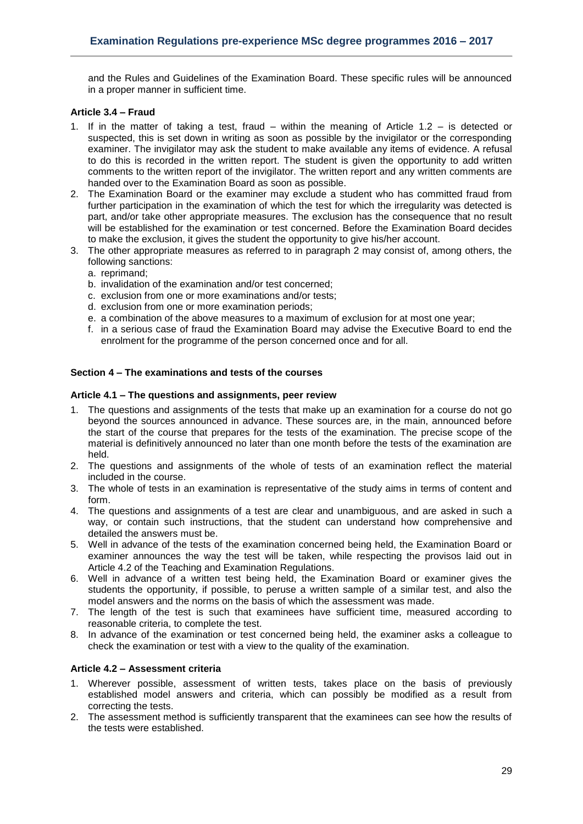and the Rules and Guidelines of the Examination Board. These specific rules will be announced in a proper manner in sufficient time.

#### <span id="page-28-0"></span>**Article 3.4 – Fraud**

- 1. If in the matter of taking a test, fraud within the meaning of Article 1.2 is detected or suspected, this is set down in writing as soon as possible by the invigilator or the corresponding examiner. The invigilator may ask the student to make available any items of evidence. A refusal to do this is recorded in the written report. The student is given the opportunity to add written comments to the written report of the invigilator. The written report and any written comments are handed over to the Examination Board as soon as possible.
- 2. The Examination Board or the examiner may exclude a student who has committed fraud from further participation in the examination of which the test for which the irregularity was detected is part, and/or take other appropriate measures. The exclusion has the consequence that no result will be established for the examination or test concerned. Before the Examination Board decides to make the exclusion, it gives the student the opportunity to give his/her account.
- 3. The other appropriate measures as referred to in paragraph 2 may consist of, among others, the following sanctions:
	- a. reprimand;
	- b. invalidation of the examination and/or test concerned;
	- c. exclusion from one or more examinations and/or tests;
	- d. exclusion from one or more examination periods;
	- e. a combination of the above measures to a maximum of exclusion for at most one year;
	- f. in a serious case of fraud the Examination Board may advise the Executive Board to end the enrolment for the programme of the person concerned once and for all.

#### <span id="page-28-1"></span>**Section 4 – The examinations and tests of the courses**

#### <span id="page-28-2"></span>**Article 4.1 – The questions and assignments, peer review**

- 1. The questions and assignments of the tests that make up an examination for a course do not go beyond the sources announced in advance. These sources are, in the main, announced before the start of the course that prepares for the tests of the examination. The precise scope of the material is definitively announced no later than one month before the tests of the examination are held.
- 2. The questions and assignments of the whole of tests of an examination reflect the material included in the course.
- 3. The whole of tests in an examination is representative of the study aims in terms of content and form.
- 4. The questions and assignments of a test are clear and unambiguous, and are asked in such a way, or contain such instructions, that the student can understand how comprehensive and detailed the answers must be.
- 5. Well in advance of the tests of the examination concerned being held, the Examination Board or examiner announces the way the test will be taken, while respecting the provisos laid out in Article 4.2 of the Teaching and Examination Regulations.
- 6. Well in advance of a written test being held, the Examination Board or examiner gives the students the opportunity, if possible, to peruse a written sample of a similar test, and also the model answers and the norms on the basis of which the assessment was made.
- 7. The length of the test is such that examinees have sufficient time, measured according to reasonable criteria, to complete the test.
- 8. In advance of the examination or test concerned being held, the examiner asks a colleague to check the examination or test with a view to the quality of the examination.

### <span id="page-28-3"></span>**Article 4.2 – Assessment criteria**

- 1. Wherever possible, assessment of written tests, takes place on the basis of previously established model answers and criteria, which can possibly be modified as a result from correcting the tests.
- 2. The assessment method is sufficiently transparent that the examinees can see how the results of the tests were established.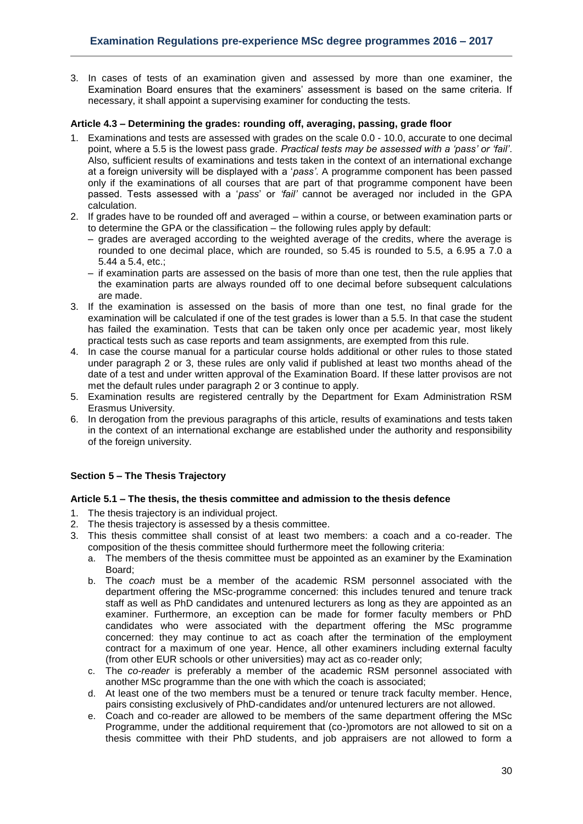3. In cases of tests of an examination given and assessed by more than one examiner, the Examination Board ensures that the examiners' assessment is based on the same criteria. If necessary, it shall appoint a supervising examiner for conducting the tests.

#### <span id="page-29-0"></span>**Article 4.3 – Determining the grades: rounding off, averaging, passing, grade floor**

- 1. Examinations and tests are assessed with grades on the scale 0.0 10.0, accurate to one decimal point, where a 5.5 is the lowest pass grade*. Practical tests may be assessed with a 'pass' or 'fail'*. Also, sufficient results of examinations and tests taken in the context of an international exchange at a foreign university will be displayed with a '*pass'*. A programme component has been passed only if the examinations of all courses that are part of that programme component have been passed. Tests assessed with a '*pass*' or *'fail'* cannot be averaged nor included in the GPA calculation.
- 2. If grades have to be rounded off and averaged within a course, or between examination parts or to determine the GPA or the classification – the following rules apply by default:
	- grades are averaged according to the weighted average of the credits, where the average is rounded to one decimal place, which are rounded, so 5.45 is rounded to 5.5, a 6.95 a 7.0 a 5.44 a 5.4, etc.;
	- if examination parts are assessed on the basis of more than one test, then the rule applies that the examination parts are always rounded off to one decimal before subsequent calculations are made.
- 3. If the examination is assessed on the basis of more than one test, no final grade for the examination will be calculated if one of the test grades is lower than a 5.5. In that case the student has failed the examination. Tests that can be taken only once per academic year, most likely practical tests such as case reports and team assignments, are exempted from this rule.
- 4. In case the course manual for a particular course holds additional or other rules to those stated under paragraph 2 or 3, these rules are only valid if published at least two months ahead of the date of a test and under written approval of the Examination Board. If these latter provisos are not met the default rules under paragraph 2 or 3 continue to apply.
- 5. Examination results are registered centrally by the Department for Exam Administration RSM Erasmus University.
- 6. In derogation from the previous paragraphs of this article, results of examinations and tests taken in the context of an international exchange are established under the authority and responsibility of the foreign university.

## <span id="page-29-1"></span>**Section 5 – The Thesis Trajectory**

#### <span id="page-29-2"></span>**Article 5.1 – The thesis, the thesis committee and admission to the thesis defence**

- 1. The thesis trajectory is an individual project.
- 2. The thesis trajectory is assessed by a thesis committee.
- 3. This thesis committee shall consist of at least two members: a coach and a co-reader. The composition of the thesis committee should furthermore meet the following criteria:
	- a. The members of the thesis committee must be appointed as an examiner by the Examination Board;
	- b. The *coach* must be a member of the academic RSM personnel associated with the department offering the MSc-programme concerned: this includes tenured and tenure track staff as well as PhD candidates and untenured lecturers as long as they are appointed as an examiner. Furthermore, an exception can be made for former faculty members or PhD candidates who were associated with the department offering the MSc programme concerned: they may continue to act as coach after the termination of the employment contract for a maximum of one year. Hence, all other examiners including external faculty (from other EUR schools or other universities) may act as co-reader only;
	- c. The *co-reader* is preferably a member of the academic RSM personnel associated with another MSc programme than the one with which the coach is associated;
	- d. At least one of the two members must be a tenured or tenure track faculty member. Hence, pairs consisting exclusively of PhD-candidates and/or untenured lecturers are not allowed.
	- e. Coach and co-reader are allowed to be members of the same department offering the MSc Programme, under the additional requirement that (co-)promotors are not allowed to sit on a thesis committee with their PhD students, and job appraisers are not allowed to form a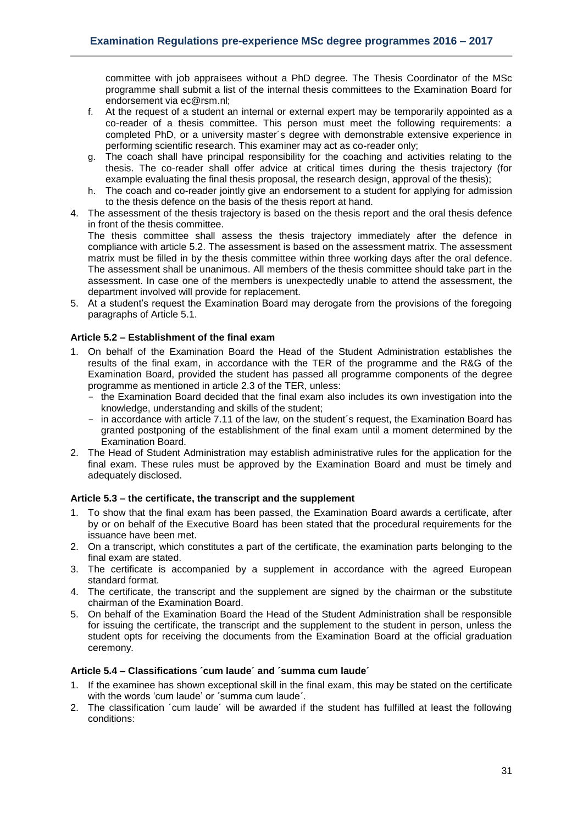committee with job appraisees without a PhD degree. The Thesis Coordinator of the MSc programme shall submit a list of the internal thesis committees to the Examination Board for endorsement via ec@rsm.nl;

- f. At the request of a student an internal or external expert may be temporarily appointed as a co-reader of a thesis committee. This person must meet the following requirements: a completed PhD, or a university master´s degree with demonstrable extensive experience in performing scientific research. This examiner may act as co-reader only;
- g. The coach shall have principal responsibility for the coaching and activities relating to the thesis. The co-reader shall offer advice at critical times during the thesis trajectory (for example evaluating the final thesis proposal, the research design, approval of the thesis);
- h. The coach and co-reader jointly give an endorsement to a student for applying for admission to the thesis defence on the basis of the thesis report at hand.
- 4. The assessment of the thesis trajectory is based on the thesis report and the oral thesis defence in front of the thesis committee.

The thesis committee shall assess the thesis trajectory immediately after the defence in compliance with article 5.2. The assessment is based on the assessment matrix. The assessment matrix must be filled in by the thesis committee within three working days after the oral defence. The assessment shall be unanimous. All members of the thesis committee should take part in the assessment. In case one of the members is unexpectedly unable to attend the assessment, the department involved will provide for replacement.

5. At a student's request the Examination Board may derogate from the provisions of the foregoing paragraphs of Article 5.1.

## <span id="page-30-0"></span>**Article 5.2 – Establishment of the final exam**

- 1. On behalf of the Examination Board the Head of the Student Administration establishes the results of the final exam, in accordance with the TER of the programme and the R&G of the Examination Board, provided the student has passed all programme components of the degree programme as mentioned in article 2.3 of the TER, unless:
	- the Examination Board decided that the final exam also includes its own investigation into the knowledge, understanding and skills of the student;
	- in accordance with article 7.11 of the law, on the student´s request, the Examination Board has granted postponing of the establishment of the final exam until a moment determined by the Examination Board.
- 2. The Head of Student Administration may establish administrative rules for the application for the final exam. These rules must be approved by the Examination Board and must be timely and adequately disclosed.

## <span id="page-30-1"></span>**Article 5.3 – the certificate, the transcript and the supplement**

- 1. To show that the final exam has been passed, the Examination Board awards a certificate, after by or on behalf of the Executive Board has been stated that the procedural requirements for the issuance have been met.
- 2. On a transcript, which constitutes a part of the certificate, the examination parts belonging to the final exam are stated.
- 3. The certificate is accompanied by a supplement in accordance with the agreed European standard format.
- 4. The certificate, the transcript and the supplement are signed by the chairman or the substitute chairman of the Examination Board.
- 5. On behalf of the Examination Board the Head of the Student Administration shall be responsible for issuing the certificate, the transcript and the supplement to the student in person, unless the student opts for receiving the documents from the Examination Board at the official graduation ceremony.

#### <span id="page-30-2"></span>**Article 5.4 – Classifications ´cum laude´ and ´summa cum laude´**

- 1. If the examinee has shown exceptional skill in the final exam, this may be stated on the certificate with the words 'cum laude' or ´summa cum laude´.
- 2. The classification ´cum laude´ will be awarded if the student has fulfilled at least the following conditions: